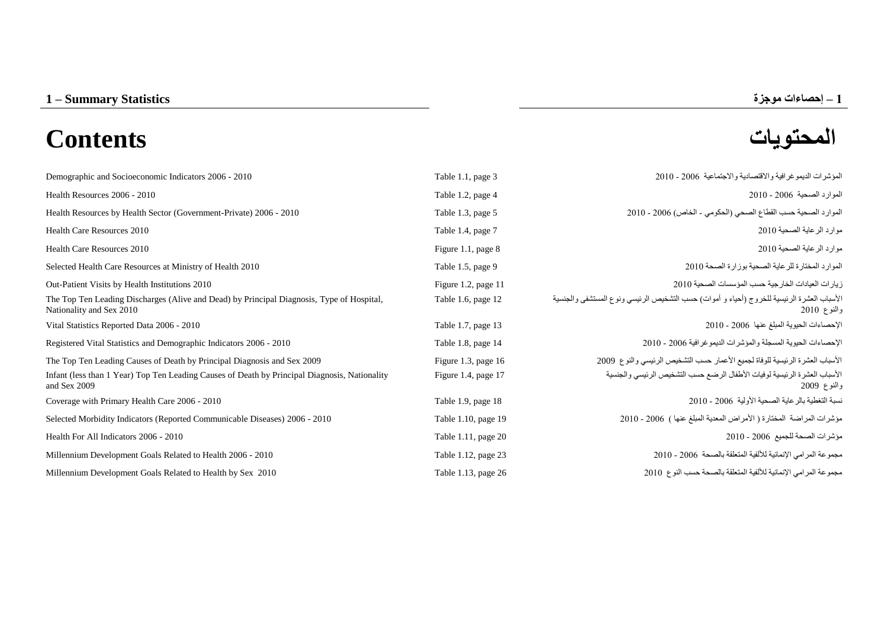# **المحتويات Contents**



| Demographic and Socioeconomic Indicators 2006 - 2010                                                                  | Table 1.1, page 3     | المؤشِّر ات الديمو غر افية و الاقتصادية و الاجتماعية 2006 - 2010                                         |
|-----------------------------------------------------------------------------------------------------------------------|-----------------------|----------------------------------------------------------------------------------------------------------|
| Health Resources 2006 - 2010                                                                                          | Table 1.2, page 4     | الموارد الصحية 2006 - 2010                                                                               |
| Health Resources by Health Sector (Government-Private) 2006 - 2010                                                    | Table 1.3, page 5     | الموارد الصحية حسب القطاع الصحى (الحكومي - الخاص) 2006 - 2010                                            |
| Health Care Resources 2010                                                                                            | Table 1.4, page 7     | موارد الر عاية الصحية 2010                                                                               |
| Health Care Resources 2010                                                                                            | Figure 1.1, page 8    | موارد الرعاية الصحية 2010                                                                                |
| Selected Health Care Resources at Ministry of Health 2010                                                             | Table 1.5, page 9     | الموارد المختارة للرعاية الصحية بوزارة الصحة 2010                                                        |
| Out-Patient Visits by Health Institutions 2010                                                                        | Figure 1.2, page 11   | زيار ات العيادات الخار جية حسب المؤسسات الصحية 2010                                                      |
| The Top Ten Leading Discharges (Alive and Dead) by Principal Diagnosis, Type of Hospital,<br>Nationality and Sex 2010 | Table 1.6, page 12    | الأسباب العشرة الرئيسية للخروج (أحياء و أموات) حسب التشخيص الرئيسي ونوع المستشفى والجنسية<br>والنوع 2010 |
| Vital Statistics Reported Data 2006 - 2010                                                                            | Table 1.7, page 13    | الإحصاءات الحيوية المبلغ عنها 2006 - 2010                                                                |
| Registered Vital Statistics and Demographic Indicators 2006 - 2010                                                    | Table 1.8, page 14    | الإحصاءات الحيوية المسجلة والمؤشرات الديمو غرافية 2006 - 2010                                            |
| The Top Ten Leading Causes of Death by Principal Diagnosis and Sex 2009                                               | Figure 1.3, page 16   | الأسباب العشرة الرئيسية للوفاة لجميع الأعمار حسب التشخيص الرئيسي والنوع 2009                             |
| Infant (less than 1 Year) Top Ten Leading Causes of Death by Principal Diagnosis, Nationality<br>and Sex 2009         | Figure 1.4, page 17   | الأسباب العشرة الرئيسية لوفيات الأطفال الرضع حسب التشخيص الرئيسي والجنسية<br>والنوع 2009                 |
| Coverage with Primary Health Care 2006 - 2010                                                                         | Table 1.9, page 18    | نسبة التغطية بالرعاية الصحية الأولية 2006 - 2010                                                         |
| Selected Morbidity Indicators (Reported Communicable Diseases) 2006 - 2010                                            | Table 1.10, page 19   | مؤشرات المراضة المختارة ( الأمراض المعدية المبلغ عنها ) 2006 - 2010                                      |
| Health For All Indicators 2006 - 2010                                                                                 | Table 1.11, page $20$ | مؤشرات الصحة للجميع 2006 - 2010                                                                          |
| Millennium Development Goals Related to Health 2006 - 2010                                                            | Table 1.12, page 23   | مجموعة المرامي الإنمائية للألفية المتعلقة بالصحة 2006 - 2010                                             |
| Millennium Development Goals Related to Health by Sex 2010                                                            | Table 1.13, page 26   | مجموعة المرامي الإنمائية للألفية المتعلقة بالصحة حسب النوع 2010                                          |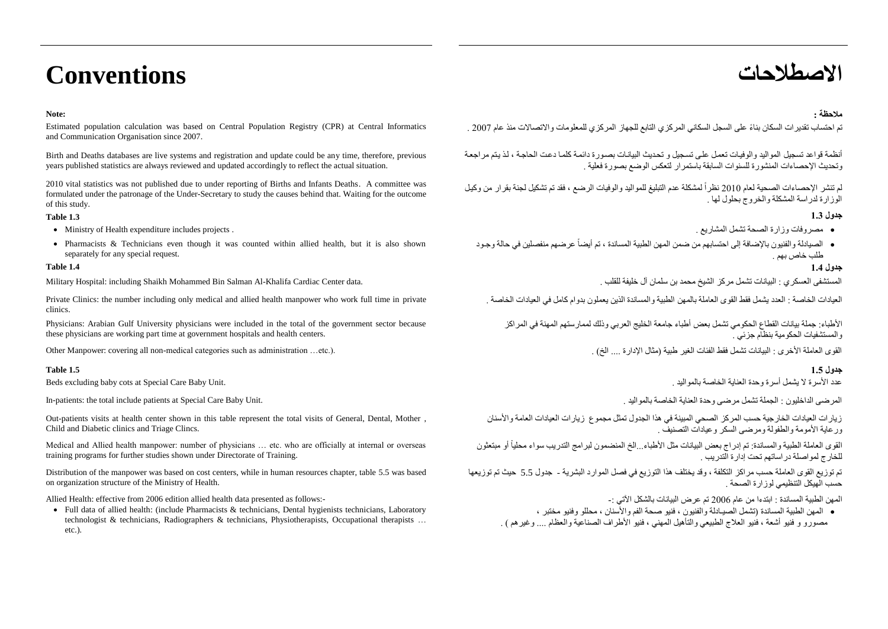## **االصطالحات Conventions**

### **Note:**

Estimated population calculation was based on Central Population Registry (CPR) at Central Informatics and Communication Organisation since 2007.

Birth and Deaths databases are live systems and registration and update could be any time, therefore, previous years published statistics are always reviewed and updated accordingly to reflect the actual situation.

2010 vital statistics was not published due to under reporting of Births and Infants Deaths. A committee was formulated under the patronage of the Under-Secretary to study the causes behind that. Waiting for the outcome of this study.

### **جدول 1.1 1.3 Table**

- Ministry of Health expenditure includes projects . . المشاريع تشمل الصحة وزارة مصروفات
- Pharmacists & Technicians even though it was counted within allied health, but it is also shown separately for any special request.

المستشفى العسكري : البيانات تشمل مركز الشيخ محمد بن سلمان آل خليفة للقلب . .data Center Cardiac Khalifa-Al Salman Bin Mohammed Shaikh including :Hospital Military

Private Clinics: the number including only medical and allied health manpower who work full time in private clinics.

Physicians: Arabian Gulf University physicians were included in the total of the government sector because these physicians are working part time at government hospitals and health centers.

القوى العاملة الأخرى : البيانات تشمل فقط الفئات الغير طبية (مثال الإدار ة ... الجزر الإدار تمثير الغير طبية )مثال الله الخبر طبية (مثال الإدار ة ... الخبر المعاشر الله الخبر الغير المثال المناس المجاز المثال المجاز المجاز

In-patients: the total include patients at Special Care Baby Unit. . بالمواليد الخاصة العناية وحدة مرضى تشمل الجملة : الداخليون المرضى

Out-patients visits at health center shown in this table represent the total visits of General, Dental, Mother , Child and Diabetic clinics and Triage Clincs.

Medical and Allied health manpower: number of physicians … etc. who are officially at internal or overseas training programs for further studies shown under Directorate of Training.

Distribution of the manpower was based on cost centers, while in human resources chapter, table 5.5 was based on organization structure of the Ministry of Health.

Allied Health: effective from 2006 edition allied health data presented as follows:-

 Full data of allied health: (include Pharmacists & technicians, Dental hygienists technicians, Laboratory technologist & technicians, Radiographers & technicians, Physiotherapists, Occupational therapists … etc.).

### **مالحظة :**

تم احتساب تقدير ات السكان بناءً على السجل السكاني المركزي التابع للجهاز المركزي للمعلومات والاتصالات منذ عام 2007 .

أنظمة قواعد تسجيل المواليد والوفيات تعمل على تسجيل و تحديث البيانات بصورة دائمة كلما دعت الحاجة ، لذ يتم مراجعة وتحديث الإحصاءات المنشورة للسنوات السابقة باستمرار التعكس الوضع بصورة فعلية

لم تنشر الإحصاءات الصحية لعام 2010 نظراً لمشكلة عدم التبليغ للمواليد والوفيات الرضع ، فقد تم تشكيل لجنة بقرار من وكيل الوزارة لدراسة المشكلة والخروج بحلول لها .

- 
- الصيادلة والفنيون بالإضافة إلى احتسابهم من ضمن المهن الطبية المساندة ، تم أيضاً عرضهم منفصلين في حالة وجود طلب خاص بهم .

### **جدول 1.1 1.4 Table**

العيادات الخاصة : العدد يشمل فقط القوى العاملة بالمهن الطبية والمساندة الذين يعملون بدوام كامل في العيادات الخاصة .

األطباء: جملة بيانات القطاع الحكومي تشمل بعض أطباء جامعة الخليج العربي وذلك لممارستهم المهنة في المراكز والمستشفيات الحكومية بنظام جزئي .

### **جدول 1.1 1.5 Table**

عدد األسرة ال يشمل أسرة وحدة العناية الخاصة بالمواليد . .Unit Baby Care Special at cots baby excluding Beds

زيارات العيادات الخارجية حسب المركز الصحي المبينة في هذا الجدول تمثل مجموع زيارات العيادات العامة واألسنان ورعاية األمومة والطفولة ومرضى السكر وعيادات التصنيف .

القوى العاملة الطبية والمساندة: تم إدراج بعض البيانات مثل الأطباء...الخ المنضمون لبرامج التدريب سواء محليا أو مبتعثون i للخارج لمواصلة دراساتهم تحت إدارة التدريب .

تم توزيع القوى العاملة حسب مراكز التكلفة ، وقد يختلف هذا التوزيع في فصل الموارد البشرية - جدول 5.5 حيث تم توزيعها حسب الهيكل التنظيمي لوزارة الصحة .

المهن الطبية المساندة : ابتدءا من عام 6002 تم عرض البيانات بالشكل اآلتي -:

---<br>● المهن الطبية المساندة (تشمل الصيـادلة والفنيون ، فنيو صحة الفم والأسنان ، محللو وفنيو مختبر ، مصبور و و فنيو أشعة ، فنيو العلاج الطبيعي والتأهيل المهني ، فنيو الأطراف الصناعية والعظام .... وغير هم ) .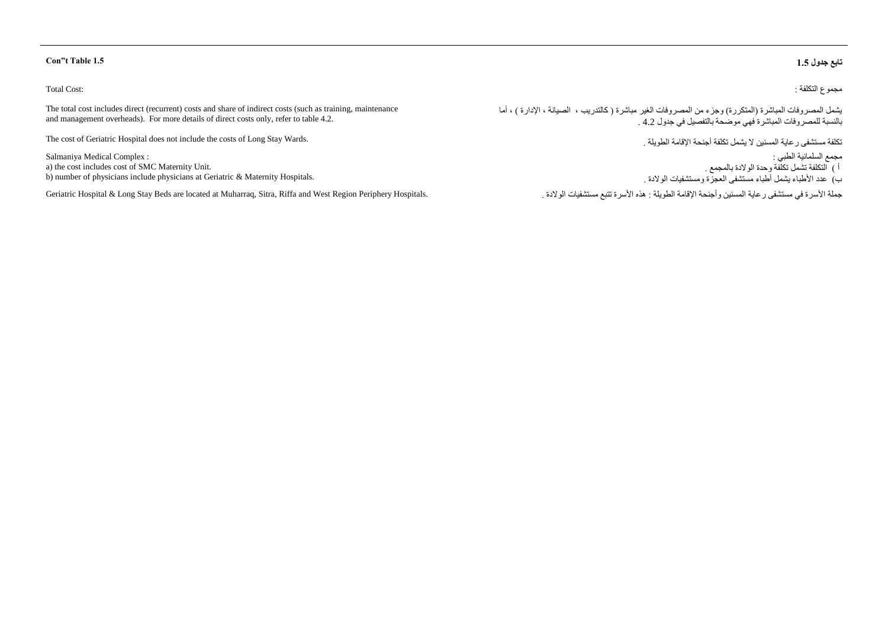### Total Cost:

The total cost includes direct (recurrent) costs and share of indirect costs (such as training, maintenance and management overheads). For more details of direct costs only, refer to table 4.2.

The cost of Geriatric Hospital does not include the costs of Long Stay Wards.

Salmaniya Medical Complex : a) the cost includes cost of SMC Maternity Unit. b) number of physicians include physicians at Geriatric & Maternity Hospitals.

حملة الأسرة في مستشفى رعاية المسنين وأجنحة الإقامة الطويلة : هذه الأسرة تتبع مستشفيات الولادة . مستشفيات الولادة المسنون مستشفيات الولادة . مستشفيات الولادة . مستشفى المسنين وأجنحة الإقامة الطويلة : هذه الأسرة تتبع مستشفي

### **Con"t Table 1.5 1.1 جدول تابع**

مجموع التكلفة :

يشمل المصروفات المباشرة (المتكررة) وجزء من المصروفات الغير مباشرة ( كالتدريب ، الصيانة ، الإدارة ) ، أما بالنسبة للمصروفات المباشرة فهي موضحة بالتفصيل في جدول 4.2 .

تكلفة مستشفى رعاية المسنين ال يشمل تكلفة أجنحة اإلقامة الطويلة .

مجمع السلمانية الطبي : أ ( التكلفة تشمل تكلفة وحدة الوالدة بالمجمع . ب) عدد الأطباء يشمل أطباء مستشفى العجزة ومستشفيات الولادة .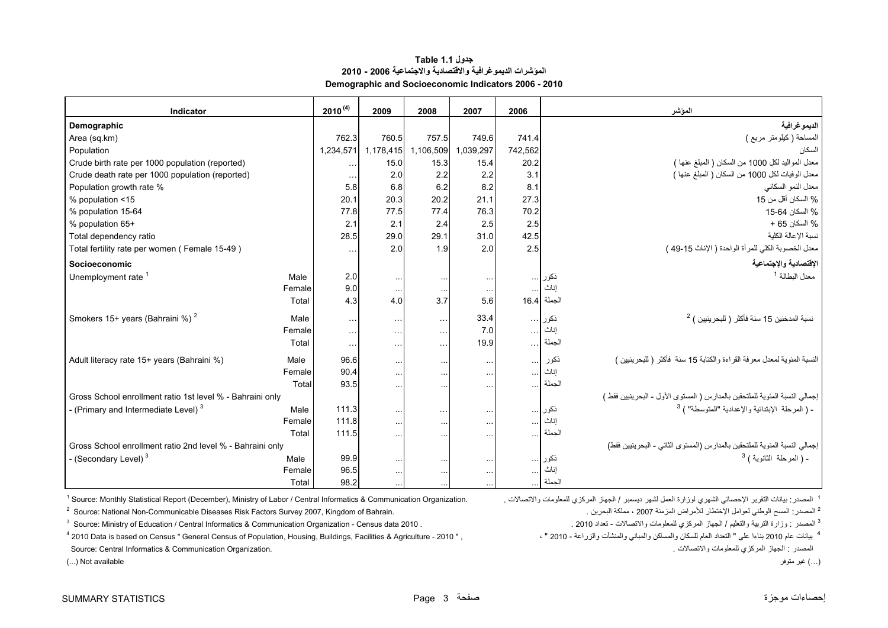### **جدول 1.1 Table المؤشرات الديموغرافية واالقتصادية واالجتماعية 2006 - 2010 Demographic and Socioeconomic Indicators 2006 - 2010**

<span id="page-3-0"></span>

| Indicator                                                 |           | $2010^{(4)}$         | 2009                 | 2008                 | 2007                 | 2006       |              | المؤشر                                                                      |
|-----------------------------------------------------------|-----------|----------------------|----------------------|----------------------|----------------------|------------|--------------|-----------------------------------------------------------------------------|
| Demographic                                               |           |                      |                      |                      |                      |            |              | الديمو غر افية                                                              |
| Area (sq.km)                                              |           | 762.3                | 760.5                | 757.5                | 749.6                | 741.4      |              | المساحة (كيلومتر مربع )                                                     |
| Population                                                | 1,234,571 | 1,178,415            | 1,106,509            | 1,039,297            | 742,562              |            | السكان       |                                                                             |
| Crude birth rate per 1000 population (reported)           |           | $\sim$ $\sim$ $\sim$ | 15.0                 | 15.3                 | 15.4                 | 20.2       |              | معدل المواليد لكل 1000 من السكان ( المبلغ عنها )                            |
| Crude death rate per 1000 population (reported)           |           | $\sim$ $\sim$ $\sim$ | 2.0                  | 2.2                  | 2.2                  | 3.1        |              | معدل الوفيات لكل 1000 من السكان ( المبلغ عنها )                             |
| Population growth rate %                                  |           | 5.8                  | 6.8                  | 6.2                  | 8.2                  | 8.1        |              | معدل النمو السكاني                                                          |
| % population <15                                          |           | 20.1                 | 20.3                 | 20.2                 | 21.1                 | 27.3       |              | % السكان أقل من 15                                                          |
| % population 15-64                                        |           | 77.8                 | 77.5                 | 77.4                 | 76.3                 | 70.2       |              | % السكان 64-15                                                              |
| % population 65+                                          |           | 2.1                  | 2.1                  | 2.4                  | 2.5                  | 2.5        |              | % السكان 65 +                                                               |
| Total dependency ratio                                    |           | 28.5                 | 29.0                 | 29.1                 | 31.0                 | 42.5       |              | نسبة الإعالة الكلية                                                         |
| Total fertility rate per women (Female 15-49)             |           | $\sim 10$            | 2.0                  | 1.9                  | 2.0                  | 2.5        |              | معدل الخصوبة الكلي للمرأة الواحدة ( الإناث 15-49 )                          |
| Socioeconomic                                             |           |                      |                      |                      |                      |            |              | الإقتصادية والإجتماعية                                                      |
| Unemployment rate <sup>1</sup>                            | Male      | 2.0                  | $\sim$ $\sim$ $\sim$ | $\cdots$             | $\sim$ $\sim$ $\sim$ |            | ذكور         | معدل البطالة <sup>1</sup>                                                   |
|                                                           | Female    | 9.0                  | $\ldots$             | $\ldots$             | $\ldots$             | $\ldots$   | إناث         |                                                                             |
|                                                           | Total     | 4.3                  | 4.0                  | 3.7                  | 5.6                  |            | الجملة  16.4 |                                                                             |
| Smokers 15+ years (Bahraini %) <sup>2</sup>               | Male      | $\sim$ $\sim$ $\sim$ | $\sim$ $\sim$ $\sim$ | $\ldots$             | 33.4                 |            | ذكور …       | نسبة المدخنين 15 سنة فأكثر ( للبحر ينبين ) <sup>2</sup>                     |
|                                                           | Female    | $\sim$ $\sim$        | $\sim$ $\sim$        | $\sim$ $\sim$        | 7.0                  | $\sim$ .   | إناث         |                                                                             |
|                                                           | Total     | $\sim$ $\sim$ $\sim$ | $\sim$ $\sim$ $\sim$ | $\sim$ $\sim$ $\sim$ | 19.9                 | $\ldots$ . | الجملة       |                                                                             |
| Adult literacy rate 15+ years (Bahraini %)                | Male      | 96.6                 | $\cdots$             | $\cdots$             | $\sim$ $\sim$ $\sim$ | $\ldots$   | ذكور         | النسبة المئوية لمعدل معرفة القراءة والكتابة 15 سنة ۖ فأكثر ( للبحرينيين )   |
|                                                           | Female    | 90.4                 | $\cdots$             | $\ldots$             | $\ddotsc$            | $\sim$     | إناث         |                                                                             |
|                                                           | Total     | 93.5                 | $\cdots$             | $\cdots$             | $\cdots$             | $\cdots$   | الجملة       |                                                                             |
| Gross School enrollment ratio 1st level % - Bahraini only |           |                      |                      |                      |                      |            |              | إجمالي النسبة المئوية للملتحقين بالمدارس ( المستوى الأول - البحرينيين فقط ) |
| - (Primary and Intermediate Level) $3$                    | Male      | 111.3                | $\sim$               | $\sim$ $\sim$ $\sim$ | $\cdots$             |            | ذكور         | - ( المرحلة  الإبتدائية والإعدادية "المتوسطة" ) <sup>3</sup>                |
|                                                           | Female    | 111.8                | $\cdots$             | $\ldots$             | $\cdots$             | $\ldots$   | إناث         |                                                                             |
|                                                           | Total     | 111.5                | $\cdots$             | $\cdots$             |                      | $\cdots$   | الجملة       |                                                                             |
| Gross School enrollment ratio 2nd level % - Bahraini only |           |                      |                      |                      |                      |            |              | إجمالي النسبة المئوية للملتحقين بالمدارس (المستوى الثاني - البحر ينبين فقط) |
| - (Secondary Level) <sup>3</sup>                          | Male      | 99.9                 | $\cdots$             | $\cdots$             | $\cdots$             |            | ذکور         | - ( المرحلة الثانوية ) <sup>3</sup>                                         |
|                                                           | Female    | 96.5                 | $\sim$               | $\cdots$             | $\cdots$             | $\ldots$   | إناث         |                                                                             |
|                                                           | Total     | 98.2                 |                      |                      |                      |            | الحملة       |                                                                             |

<sup>1</sup> Source: Monthly Statistical Report (December), Ministry of Labor / Central Informatics & Communication Organization.

2 Source: National Non-Communicable Diseases Risk Factors Survey 2007, Kingdom of Bahrain. . البحرين مملكة ، <sup>2007</sup> المزمنة لألمراض اإلختطار لعوامل الوطني المسح :المصدر <sup>2</sup>

<sup>3</sup> الصدر : وزارة التربية والتعليم / الجهاز المركزي للمعلومات والاتتصالات - تعداد 2010 . . . . . . 2010 Source: Ministry of Education / Central Informatics & Communication Organization - Census data 2010 . . . . . . . . .

<sup>4</sup> بيانات عام 2010 بناءا على " التعداد العام للسكان والمباني والمنشآت والزراعة - 2010 - و2011 " ، " 2010 Data is based on Census " General Census of Population, Housing, Buildings, Facilities & Agriculture - 2010 " ,

(...) غير متوفر available Not) ...(

<sup>1</sup> المصدر : بيانات التقرير الإحصائي الشهري لوزارة العمل لشهر ديسمبر / الجهاز المركزي للمعلومات والاتصالات .

المصدر : الجهاز المركزي للمعلومات والاتصالات .<br>Source: Central Informatics & Communication Organization.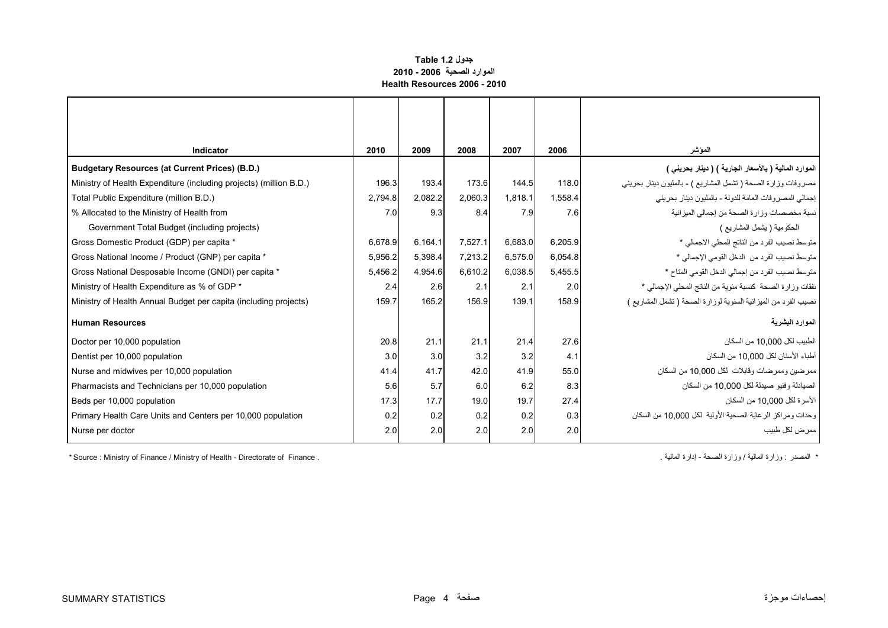### **جدول 1.2 Table الموارد الصحية 2006 - 2010 Health Resources 2006 - 2010**

<span id="page-4-0"></span>

| Indicator                                                          | 2010    | 2009    | 2008    | 2007    | 2006    | المؤشر                                                        |
|--------------------------------------------------------------------|---------|---------|---------|---------|---------|---------------------------------------------------------------|
| <b>Budgetary Resources (at Current Prices) (B.D.)</b>              |         |         |         |         |         | الموارد المالية ( بالأسعار الجارية ) ( دينار بحريني )         |
| Ministry of Health Expenditure (including projects) (million B.D.) | 196.3   | 193.4   | 173.6   | 144.5   | 118.0   | مصروفات وزارة الصحة ( تشمل المشاريع ) - بالمليون دينار بحريني |
| Total Public Expenditure (million B.D.)                            | 2,794.8 | 2,082.2 | 2,060.3 | 1,818.1 | 1,558.4 | إجمالي المصروفات العامة للدولة - بالمليون دينار بحريني        |
| % Allocated to the Ministry of Health from                         | 7.0     | 9.3     | 8.4     | 7.9     | 7.6     | نسبة مخصصات وزارة الصحة من إجمالي الميزانية                   |
| Government Total Budget (including projects)                       |         |         |         |         |         | الحكومية ( يشمل المشاريع )                                    |
| Gross Domestic Product (GDP) per capita *                          | 6.678.9 | 6,164.1 | 7,527.1 | 6,683.0 | 6,205.9 | متوسط نصيب الفرد من الناتج المحلي الاجمالي *                  |
| Gross National Income / Product (GNP) per capita *                 | 5,956.2 | 5,398.4 | 7,213.2 | 6,575.0 | 6,054.8 | متوسط نصيب الفرد من الدخل القومي الإجمالي *                   |
| Gross National Desposable Income (GNDI) per capita *               | 5,456.2 | 4,954.6 | 6,610.2 | 6,038.5 | 5,455.5 | متوسط نصيب الفرد من إجمالي الدخل القومي المتاح *              |
| Ministry of Health Expenditure as % of GDP *                       | 2.4     | 2.6     | 2.1     | 2.1     | 2.0     | نفقات وزارة الصحة كنسبة مئوية من الناتج المحلي الإجمالي *     |
| Ministry of Health Annual Budget per capita (including projects)   | 159.7   | 165.2   | 156.9   | 139.1   | 158.9   | نصيب الفرد من الميزانية السنوية لوزارة الصحة (تشمل المشاريع ) |
| <b>Human Resources</b>                                             |         |         |         |         |         | الموارد البشرية                                               |
| Doctor per 10,000 population                                       | 20.8    | 21.1    | 21.1    | 21.4    | 27.6    | الطبيب لكل 10,000 من السكان                                   |
| Dentist per 10,000 population                                      | 3.0     | 3.0     | 3.2     | 3.2     | 4.1     | أطباء الأسنان لكل 10.000 من السكان                            |
| Nurse and midwives per 10,000 population                           | 41.4    | 41.7    | 42.0    | 41.9    | 55.0    | ممر ضين و ممر ضات و قابلات  لكل 10.000 من السكان              |
| Pharmacists and Technicians per 10,000 population                  | 5.6     | 5.7     | 6.0     | 6.2     | 8.3     | الصيادلة و فنيو  صيدلة لكل 10.000 من السكان                   |
| Beds per 10,000 population                                         | 17.3    | 17.7    | 19.0    | 19.7    | 27.4    | الأسر ة لكل 10.000 من السكان                                  |
| Primary Health Care Units and Centers per 10,000 population        | 0.2     | 0.2     | 0.2     | 0.2     | 0.3     | وحدات ومراكز الرعاية الصحية الأولية لكل 10,000 من السكان      |
| Nurse per doctor                                                   | 2.0     | 2.0     | 2.0     | 2.0     | 2.0     | ممر ض لکل طبیب                                                |

\* Source : Ministry of Finance / Ministry of Health - Directorate of Finance . " . المصدر : وزارة الصالية / وزارة الصحة - إدارة الصالية / وزارة الصحة - إدارة الصالية / وزارة الصحة - إدارة الصالية / وزارة الصحة - إدارة الص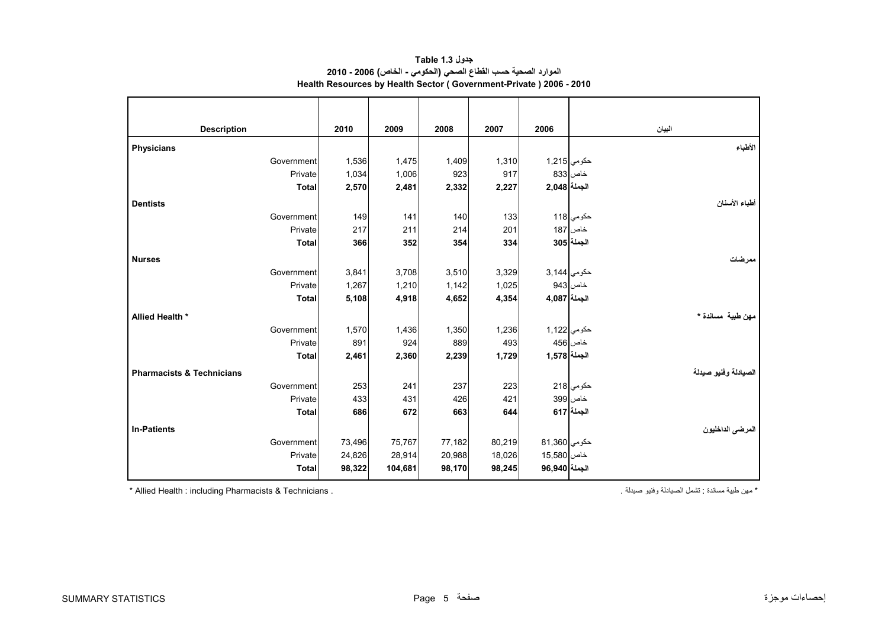<span id="page-5-0"></span>

| <b>Description</b>                   | 2010   | 2009    | 2008   | 2007   | 2006          | البيان               |
|--------------------------------------|--------|---------|--------|--------|---------------|----------------------|
| <b>Physicians</b>                    |        |         |        |        |               | الأطباء              |
| Government                           | 1,536  | 1,475   | 1,409  | 1,310  | حكومي 1,215   |                      |
| Private                              | 1,034  | 1,006   | 923    | 917    |               | خاص 833              |
| <b>Total</b>                         | 2,570  | 2,481   | 2,332  | 2,227  | الجملة 2,048  |                      |
| <b>Dentists</b>                      |        |         |        |        |               | أطباء الأسنان        |
| Government                           | 149    | 141     | 140    | 133    |               | حكومي 118            |
| Private                              | 217    | 211     | 214    | 201    |               | خاص 187              |
| <b>Total</b>                         | 366    | 352     | 354    | 334    |               | الجملة 305           |
| <b>Nurses</b>                        |        |         |        |        |               | ممر ضات              |
| Government                           | 3,841  | 3,708   | 3,510  | 3,329  | حكومي 3,144   |                      |
| Private                              | 1,267  | 1,210   | 1,142  | 1,025  |               | خاص 943              |
| <b>Total</b>                         | 5,108  | 4,918   | 4,652  | 4,354  | الجملة 4,087  |                      |
| Allied Health *                      |        |         |        |        |               | مهن طبية مساندة *    |
| Government                           | 1,570  | 1,436   | 1,350  | 1,236  | حكومي 1,122   |                      |
| Private                              | 891    | 924     | 889    | 493    |               | خاص 456              |
| <b>Total</b>                         | 2,461  | 2,360   | 2,239  | 1,729  | الجملة 3,578  |                      |
| <b>Pharmacists &amp; Technicians</b> |        |         |        |        |               | الصيادلة وفنيو صيدلة |
| Government                           | 253    | 241     | 237    | 223    |               | حکوم <i>ي</i> 218    |
| Private                              | 433    | 431     | 426    | 421    |               | خاص 399              |
| <b>Total</b>                         | 686    | 672     | 663    | 644    |               | الجملة  617          |
| <b>In-Patients</b>                   |        |         |        |        |               | المرضى الداخليون     |
| Government                           | 73,496 | 75,767  | 77,182 | 80,219 | حكومي 81,360  |                      |
| Private                              | 24,826 | 28,914  | 20,988 | 18,026 | خاص 15,580    |                      |
| <b>Total</b>                         | 98,322 | 104,681 | 98,170 | 98,245 | الجملة 96,940 |                      |

**جدول 1.3 Table الموارد الصحية حسب القطاع الصحي (الحكومي - الخاص) 2006 - 2010 Health Resources by Health Sector ( Government-Private ) 2006 - 2010**

\* Allied Health : including Pharmacists & Technicians .

\* مھن طبية مساندة : تشمل الصيادلة وفنيو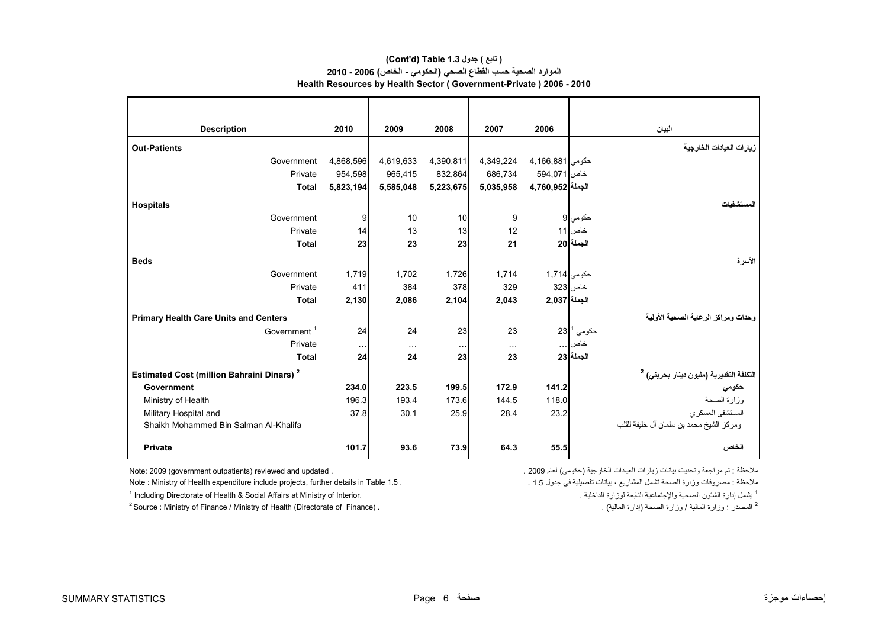### **الموارد الصحية حسب القطاع الصحي (الحكومي - الخاص) 2006 - 2010 Health Resources by Health Sector ( Government-Private ) 2006 - 2010 (Cont'd) Table 1.3 جدول ) تابع(**

| <b>Description</b>                                           | 2010                 | 2009      | 2008      | 2007                 | 2006             | البيان                                                       |
|--------------------------------------------------------------|----------------------|-----------|-----------|----------------------|------------------|--------------------------------------------------------------|
| <b>Out-Patients</b>                                          |                      |           |           |                      |                  | زيارات العيادات الخارجية                                     |
| Government                                                   | 4,868,596            | 4,619,633 | 4,390,811 | 4,349,224            | حكومي 4,166,881  |                                                              |
| Private                                                      | 954,598              | 965,415   | 832,864   | 686,734              | خاص  594,071     |                                                              |
| <b>Total</b>                                                 | 5,823,194            | 5,585,048 | 5,223,675 | 5,035,958            | الجملة 3,760,952 |                                                              |
| <b>Hospitals</b>                                             |                      |           |           |                      |                  | لمستشفيات                                                    |
| Government                                                   | 9                    | 10        | 10        | 9                    |                  | حكومي 9                                                      |
| Private                                                      | 14                   | 13        | 13        | 12                   |                  | خاص 11                                                       |
| <b>Total</b>                                                 | 23                   | 23        | 23        | 21                   |                  | الجملة 20                                                    |
| <b>Beds</b>                                                  |                      |           |           |                      |                  | الأسرة                                                       |
| Government                                                   | 1,719                | 1,702     | 1,726     | 1,714                | حكومي 1,714      |                                                              |
| Private                                                      | 411                  | 384       | 378       | 329                  |                  | خاص 323                                                      |
| <b>Total</b>                                                 | 2,130                | 2,086     | 2,104     | 2,043                | الجملة 2,037     |                                                              |
| <b>Primary Health Care Units and Centers</b>                 |                      |           |           |                      |                  | وحدات ومراكز الرعاية الصحية الأولية                          |
| Government <sup>1</sup>                                      | 24                   | 24        | 23        | 23                   |                  | $23^{\mid 1}$ حکومي $^{\mid}$                                |
| Private                                                      | $\sim$ $\sim$ $\sim$ | $\cdots$  | $\ddotsc$ | $\sim$ $\sim$ $\sim$ |                  | خاص                                                          |
| <b>Total</b>                                                 | 24                   | 24        | 23        | 23                   |                  | الجملة 23                                                    |
| <b>Estimated Cost (million Bahraini Dinars)</b> <sup>2</sup> |                      |           |           |                      |                  | التكلفة التقديرية (مليون دينار بحرين <i>ي</i> ) <sup>2</sup> |
| Government                                                   | 234.0                | 223.5     | 199.5     | 172.9                | 141.2            | حكومي                                                        |
| Ministry of Health                                           | 196.3                | 193.4     | 173.6     | 144.5                | 118.0            | وزارة الصحة                                                  |
| Military Hospital and                                        | 37.8                 | 30.1      | 25.9      | 28.4                 | 23.2             | المستشفى العسكري                                             |
| Shaikh Mohammed Bin Salman Al-Khalifa                        |                      |           |           |                      |                  | ومركز الشيخ محمد بن سلمان أل خليفة للقلب                     |
| <b>Private</b>                                               | 101.7                | 93.6      | 73.9      | 64.3                 | 55.5             | الخاص                                                        |

Note : Ministry of Health expenditure include projects, further details in Table 1.5 . . 1.5 جدول في تفصيلية بيانات ، المشاريع تشمل الصحة وزارة مصروفات : مالحظة

1 Including Directorate of Health & Social Affairs at Ministry of Interior. . الداخلية لوزارة التابعة واإلجتماعية الصحية الشئون إدارة يشمل <sup>1</sup>

<sup>2</sup> Source : Ministry of Finance / Ministry of Health (Directorate of Finance) . . . (المصدر : وزارة الصحة (إدارة الصحة (إدارة الصلية) عن الصحة وزارة الصحة وزارة الصحة (إدارة الصحة وزارة الصحة وزارة الصحة وزارة الصحة وزار

ملاحظة : تم مراجعة وتحديث بيانات زيارات العيادات الخارجية (حكومي) لعام 2009 . . . . . . . . . 2009 . Note: 2009 (government outpatients) reviewed and updated .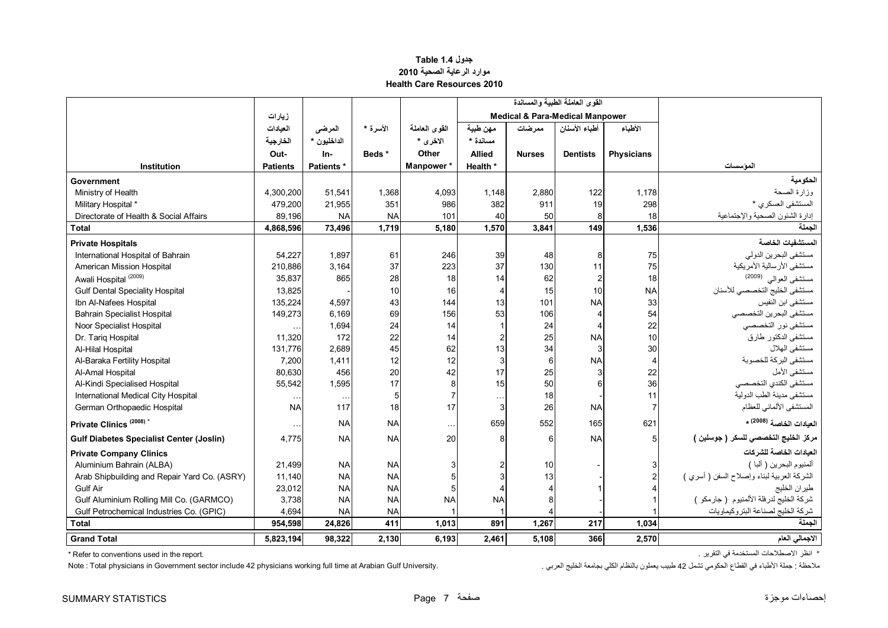### **جدول 1.4 Table موارد الرعاية الصحية <sup>2010</sup> Health Care Resources 2010**

<span id="page-7-0"></span>

|                                                 |                 |             |           |               |                          |               | القوى العاملة الطبية والمساندة             |                   |                                            |
|-------------------------------------------------|-----------------|-------------|-----------|---------------|--------------------------|---------------|--------------------------------------------|-------------------|--------------------------------------------|
|                                                 | زيارات          |             |           |               |                          |               | <b>Medical &amp; Para-Medical Manpower</b> |                   |                                            |
|                                                 | العبادات        | المرضى      | الأسرة *  | القوى العاملة | مهن طبية                 | ممر ضات       | أطباء الأسنان                              | الأطباء           |                                            |
|                                                 | الخارجية        | الداخليون * |           | الاخرى *      | مسائدة *                 |               |                                            |                   |                                            |
|                                                 | Out-            | In-         | Beds*     | Other         | <b>Allied</b>            | <b>Nurses</b> | <b>Dentists</b>                            | <b>Physicians</b> |                                            |
| <b>Institution</b>                              | <b>Patients</b> | Patients *  |           | Manpower*     | Health *                 |               |                                            |                   | المؤسسات                                   |
| Government                                      |                 |             |           |               |                          |               |                                            |                   | الحكومية                                   |
| Ministry of Health                              | 4,300,200       | 51,541      | 1,368     | 4,093         | 1,148                    | 2,880         | 122                                        | 1,178             | وزارة الصحة                                |
| Military Hospital *                             | 479.200         | 21,955      | 351       | 986           | 382                      | 911           | 19                                         | 298               | المستشفى العسكرى *                         |
| Directorate of Health & Social Affairs          | 89,196          | <b>NA</b>   | <b>NA</b> | 101           | 40                       | 50            | 8                                          | 18                | إدارة الشئون الصحية والإجتماعية            |
| <b>Total</b>                                    | 4,868,596       | 73,496      | 1,719     | 5,180         | 1,570                    | 3,841         | 149                                        | 1,536             | الجملة                                     |
| <b>Private Hospitals</b>                        |                 |             |           |               |                          |               |                                            |                   | المستشفيات الخاصة                          |
| International Hospital of Bahrain               | 54,227          | 1,897       | 61        | 246           | 39                       | 48            | 8                                          | 75                | مستشفى البحرين الدولي                      |
| American Mission Hospital                       | 210,886         | 3,164       | 37        | 223           | 37                       | 130           | 11                                         | 75                | مستشفى الأرسالية الأمريكية                 |
| Awali Hospital <sup>(2009)</sup>                | 35,837          | 865         | 28        | 18            | 14                       | 62            | 2                                          | 18                | مستشفى العوالي (2009)                      |
| <b>Gulf Dental Speciality Hospital</b>          | 13,825          |             | 10        | 16            | $\overline{4}$           | 15            | 10                                         | <b>NA</b>         | مستشفى الخليج التخصصي للأسنان              |
| Ibn Al-Nafees Hospital                          | 135,224         | 4,597       | 43        | 144           | 13                       | 101           | <b>NA</b>                                  | 33                | مستشفى ابن النفيس                          |
| <b>Bahrain Specialist Hospital</b>              | 149,273         | 6,169       | 69        | 156           | 53                       | 106           | $\overline{4}$                             | 54                | مستشفى البحرين التخصصي                     |
| Noor Specialist Hospital                        |                 | 1,694       | 24        | 14            | $\overline{1}$           | 24            |                                            | 22                | مستشفى نور التخصصي                         |
| Dr. Tariq Hospital                              | 11,320          | 172         | 22        | 14            | $\overline{2}$           | 25            | <b>NA</b>                                  | 10                | مستشفى الدكتور طارق                        |
| Al-Hilal Hospital                               | 131.776         | 2,689       | 45        | 62            | 13                       | 34            | 3                                          | 30                | مستشفى الهلال                              |
| Al-Baraka Fertility Hospital                    | 7,200           | 1,411       | 12        | 12            | 3                        | 6             | <b>NA</b>                                  | $\overline{4}$    | مستشفى البركة للخصوبة                      |
| Al-Amal Hospital                                | 80.630          | 456         | 20        | 42            | 17                       | 25            |                                            | 22                | مستشفى الأمل                               |
| Al-Kindi Specialised Hospital                   | 55,542          | 1,595       | 17        | 8             | 15                       | 50            |                                            | 36                | مستشفى الكندي التخصصي                      |
| International Medical City Hospital             | $\cdots$        | $\sim$      | 5         |               | $\ddotsc$                | 18            |                                            | 11                | مستشفى مدينة الطب الدولية                  |
| German Orthopaedic Hospital                     | <b>NA</b>       | 117         | 18        | 17            | 3                        | 26            | <b>NA</b>                                  | $\overline{7}$    | المستشفى الألماني للعظام                   |
| Private Clinics <sup>(2008)*</sup>              |                 | <b>NA</b>   | <b>NA</b> | $\ldots$      | 659                      | 552           | 165                                        | 621               | العيادات الخاصة (2008) *                   |
| <b>Gulf Diabetes Specialist Center (Joslin)</b> | 4.775           | <b>NA</b>   | <b>NA</b> | 20            | 8                        | 6             | <b>NA</b>                                  | 5                 | مركز الخليج التخصصي للسكر ( جوسلين )       |
| <b>Private Company Clinics</b>                  |                 |             |           |               |                          |               |                                            |                   | العيادات الخاصة للشر كات                   |
| Aluminium Bahrain (ALBA)                        | 21,499          | <b>NA</b>   | <b>NA</b> |               |                          | 10            |                                            |                   | ألمنيوم البحرين ( ألبا )                   |
| Arab Shipbuilding and Repair Yard Co. (ASRY)    | 11,140          | <b>NA</b>   | <b>NA</b> |               | 3                        | 13            |                                            |                   | الشركة العربية لبناء وإصلاح السفن ( أسري ) |
| <b>Gulf Air</b>                                 | 23,012          | <b>NA</b>   | <b>NA</b> |               | $\boldsymbol{\varDelta}$ |               |                                            |                   | طيران الخليج                               |
| Gulf Aluminium Rolling Mill Co. (GARMCO)        | 3,738           | <b>NA</b>   | <b>NA</b> | <b>NA</b>     | <b>NA</b>                |               |                                            |                   | شركة الخليج لدرفلة الألمنيوم (جارمكو )     |
| Gulf Petrochemical Industries Co. (GPIC)        | 4,694           | <b>NA</b>   | <b>NA</b> |               |                          |               |                                            |                   | شركة الخليج لصناعة البتروكيماويات          |
| <b>Total</b>                                    | 954,598         | 24,826      | 411       | 1,013         | 891                      | 1,267         | 217                                        | 1,034             | الحملة                                     |
| <b>Grand Total</b>                              | 5,823,194       | 98,322      | 2,130     | 6,193         | 2,461                    | 5.108         | 366                                        | 2,570             | الاجمالي العام                             |

\* Refer to conventions used in the report. . التقرير في المستخدمة االصطالحات انظر\*

ملاحظة : جملة الأطباء في القطاع الحكومي تشمل 42 طبيب بعملون بالنظام الكلي بجامعة الخليج العربي . . . . . . Note : Total physicians in Government sector include 42 physicians working full time at Arabian Gulf University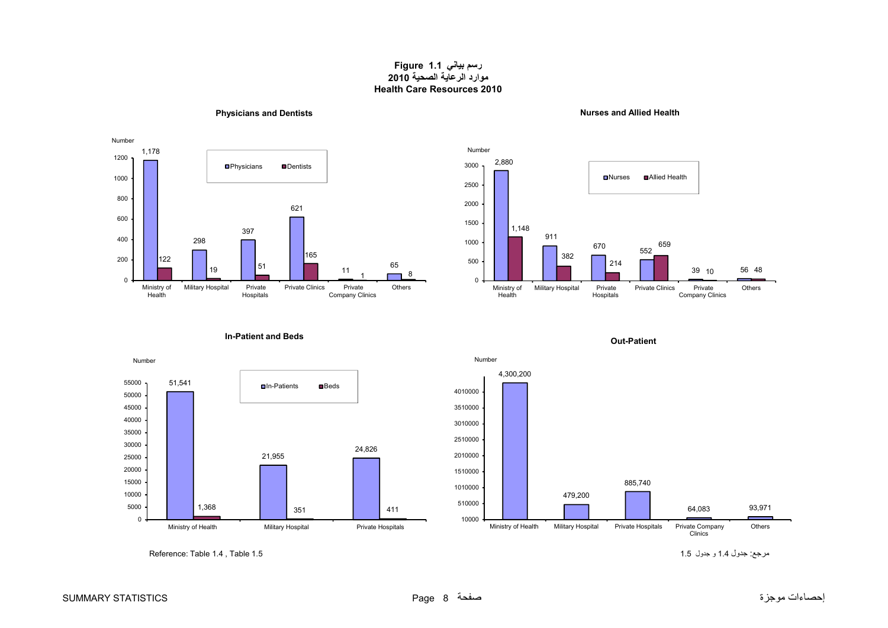### **رسم بياني 1.1 Figure موارد الرعاية الصحية <sup>2010</sup> Health Care Resources 2010**

<span id="page-8-0"></span>

**In-Patient and Beds**



**Physicians and Dentists Nurses and Allied Health**





مرجع: جدول 1.4 و جدول 1.5 1.5 1.5 1.5 1.5 المستخدمة جدول 1.5 برجع: جدول 1.4 و Reference: Table 1.4 . Table 1.5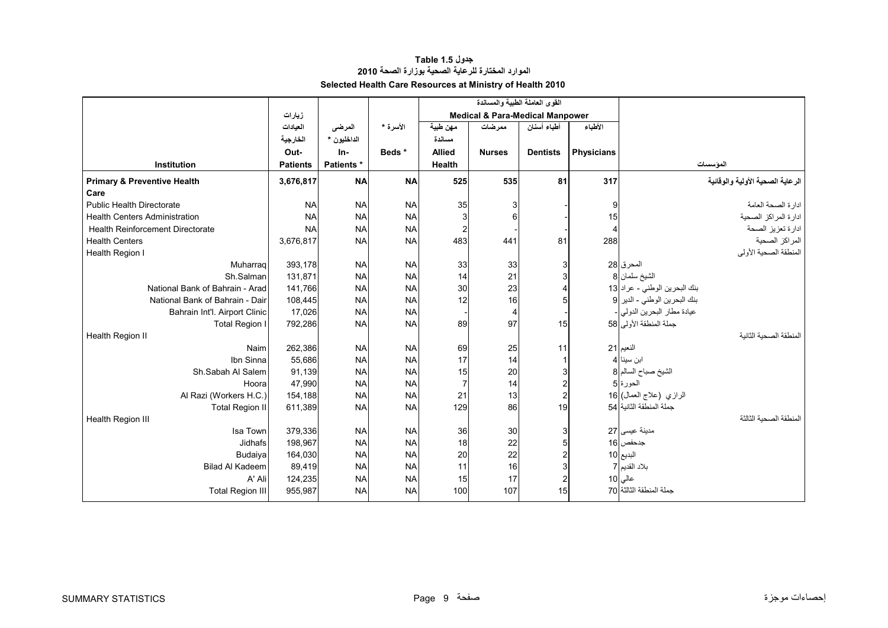### **جدول 1.5 Table الموارد المختارة للرعاية الصحية بوزارة الصحة <sup>2010</sup> Selected Health Care Resources at Ministry of Health 2010**

<span id="page-9-0"></span>

|                                        |                 |                   |           |                         | القوى العاملة الطبية والمساندة             |                 |                   |                                           |
|----------------------------------------|-----------------|-------------------|-----------|-------------------------|--------------------------------------------|-----------------|-------------------|-------------------------------------------|
|                                        | زيارات          |                   |           |                         | <b>Medical &amp; Para-Medical Manpower</b> |                 |                   |                                           |
|                                        | العيادات        | المرضى            | الأسرة *  | مهن طبية                | ممرضات                                     | أطباء أسنان     | الأطباء           |                                           |
|                                        | الخارجية        | الداخليون *       |           | مسائدة                  |                                            |                 |                   |                                           |
|                                        | Out-            | In-               | Beds *    | <b>Allied</b>           | <b>Nurses</b>                              | <b>Dentists</b> | <b>Physicians</b> |                                           |
| Institution                            | <b>Patients</b> | <b>Patients</b> * |           | Health                  |                                            |                 |                   | الموسسات                                  |
| <b>Primary &amp; Preventive Health</b> | 3,676,817       | <b>NA</b>         | <b>NA</b> | 525                     | 535                                        | 81              | 317               | الرعاية الصحية الأولية والوقائية          |
| Care                                   |                 |                   |           |                         |                                            |                 |                   |                                           |
| <b>Public Health Directorate</b>       | <b>NA</b>       | <b>NA</b>         | <b>NA</b> | 35                      | 3                                          |                 | 9                 | ادارة الصحة العامة                        |
| <b>Health Centers Administration</b>   | <b>NA</b>       | <b>NA</b>         | <b>NA</b> | 3                       | 6                                          |                 | 15                | ادارة المراكز الصحية                      |
| Health Reinforcement Directorate       | <b>NA</b>       | <b>NA</b>         | <b>NA</b> | $\overline{\mathbf{c}}$ |                                            |                 | 4                 | ادارة تعزيز الصحة                         |
| <b>Health Centers</b>                  | 3,676,817       | <b>NA</b>         | <b>NA</b> | 483                     | 441                                        | 81              | 288               | المراكز الصحية                            |
| Health Region I                        |                 |                   |           |                         |                                            |                 |                   | المنطقة الصحية الأولى                     |
| Muharrag                               | 393,178         | <b>NA</b>         | <b>NA</b> | 33                      | 33                                         |                 |                   | المحرق 28                                 |
| Sh.Salman                              | 131,871         | <b>NA</b>         | <b>NA</b> | 14                      | 21                                         |                 |                   | الشيخ سلمان 8                             |
| National Bank of Bahrain - Arad        | 141,766         | <b>NA</b>         | <b>NA</b> | 30                      | 23                                         |                 |                   | بنك البحرين الوطني - عراد 13              |
| National Bank of Bahrain - Dair        | 108,445         | <b>NA</b>         | <b>NA</b> | 12                      | 16                                         |                 |                   | بنك البحرين الوطني - الدير 9              |
| Bahrain Int'l. Airport Clinic          | 17,026          | <b>NA</b>         | <b>NA</b> |                         | 4                                          |                 |                   | عيادة مطار البحرين الدولمي <mark>-</mark> |
| Total Region I                         | 792,286         | <b>NA</b>         | <b>NA</b> | 89                      | 97                                         | 15              |                   | جملة المنطقة الأولى 58                    |
| Health Region II                       |                 |                   |           |                         |                                            |                 |                   | المنطقة الصحبة الثانبة                    |
| Naim                                   | 262,386         | <b>NA</b>         | <b>NA</b> | 69                      | 25                                         | 11              |                   | النعيم 21                                 |
| Ibn Sinna                              | 55,686          | <b>NA</b>         | <b>NA</b> | 17                      | 14                                         |                 |                   | ابن سينا 4                                |
| Sh.Sabah Al Salem                      | 91,139          | <b>NA</b>         | <b>NA</b> | 15                      | 20                                         |                 |                   | الشيخ صباح السالم 8                       |
| Hoora                                  | 47,990          | <b>NA</b>         | <b>NA</b> | $\overline{7}$          | 14                                         |                 |                   | الحورة 5                                  |
| Al Razi (Workers H.C.)                 | 154,188         | <b>NA</b>         | <b>NA</b> | 21                      | 13                                         |                 |                   | الرازي (علاج العمال) 16                   |
| <b>Total Region II</b>                 | 611,389         | <b>NA</b>         | <b>NA</b> | 129                     | 86                                         | 19              |                   | جملة المنطقة الثانبة   54                 |
| Health Region III                      |                 |                   |           |                         |                                            |                 |                   | لمنطقة الصحبة الثالثة                     |
| Isa Town                               | 379,336         | <b>NA</b>         | <b>NA</b> | 36                      | 30                                         |                 |                   | مدينة عيسى 27                             |
| Jidhafs                                | 198,967         | <b>NA</b>         | <b>NA</b> | 18                      | 22                                         |                 |                   | جدحفص 16                                  |
| Budaiya                                | 164,030         | <b>NA</b>         | <b>NA</b> | 20                      | 22                                         |                 |                   | البديع 10                                 |
| <b>Bilad Al Kadeem</b>                 | 89,419          | <b>NA</b>         | <b>NA</b> | 11                      | 16                                         |                 |                   | بلاد القديم 7                             |
| A' Ali                                 | 124,235         | <b>NA</b>         | <b>NA</b> | 15                      | 17                                         |                 |                   | عالی 10                                   |
| <b>Total Region III</b>                | 955,987         | <b>NA</b>         | <b>NA</b> | 100                     | 107                                        | 15              |                   | جملة المنطقة الثالثة 70                   |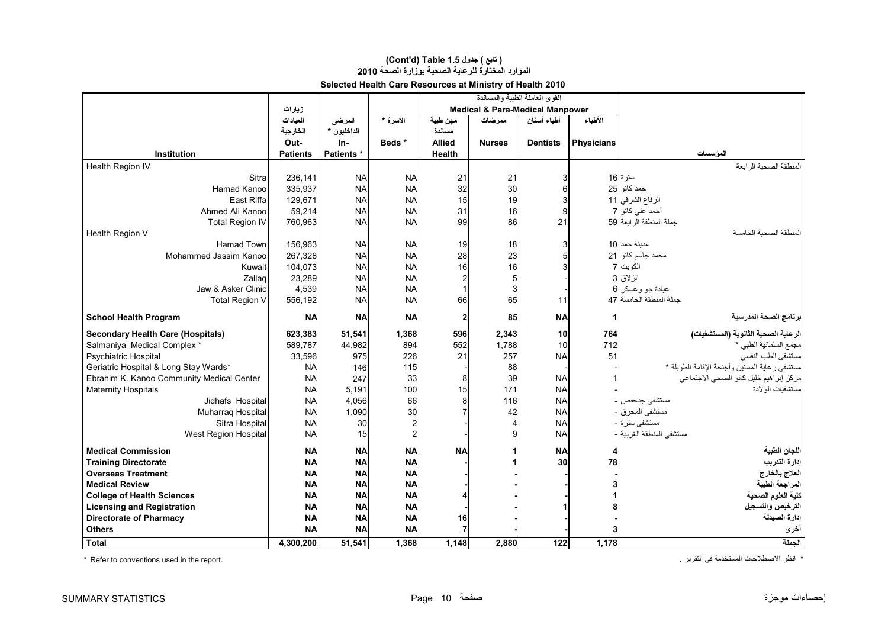### **الموارد المختارة للرعاية الصحية بوزارة الصحة <sup>2010</sup> (Cont'd) Table 1.5 جدول ) تابع(**

|                                           |                 |                   |           |                | القوى العاملة الطبية والمساندة             |                 |                   |                                               |
|-------------------------------------------|-----------------|-------------------|-----------|----------------|--------------------------------------------|-----------------|-------------------|-----------------------------------------------|
|                                           | زيارات          |                   |           |                | <b>Medical &amp; Para-Medical Manpower</b> |                 |                   |                                               |
|                                           | العيادات        | المرضى            | الأسرة *  | مهن طبية       | ممر ضات                                    | أطباء أسنان     | الأطباء           |                                               |
|                                           | الخارجية        | الداخليون *       |           | مساندة         |                                            |                 |                   |                                               |
|                                           | Out-            | In-               | Beds*     | <b>Allied</b>  | <b>Nurses</b>                              | <b>Dentists</b> | <b>Physicians</b> |                                               |
| <b>Institution</b>                        | <b>Patients</b> | <b>Patients *</b> |           | Health         |                                            |                 |                   | المؤسسات                                      |
| Health Region IV                          |                 |                   |           |                |                                            |                 |                   | المنطقة الصحبة الر ابعة                       |
| Sitra                                     | 236,141         | <b>NA</b>         | <b>NA</b> | 21             | 21                                         |                 |                   | سترة 16                                       |
| Hamad Kanoo                               | 335,937         | <b>NA</b>         | <b>NA</b> | 32             | 30                                         |                 |                   | حمد كانو 25                                   |
| East Riffa                                | 129.671         | <b>NA</b>         | <b>NA</b> | 15             | 19                                         |                 |                   | الرفاع الشرقي 11                              |
| Ahmed Ali Kanoo                           | 59,214          | <b>NA</b>         | <b>NA</b> | 31             | 16                                         |                 |                   | أحمد على كانو 7                               |
| <b>Total Region IV</b>                    | 760,963         | <b>NA</b>         | <b>NA</b> | 99             | 86                                         | 21              |                   | جملة المنطقة الرابعة 59                       |
| Health Region V                           |                 |                   |           |                |                                            |                 |                   | لمنطقة الصحية الخامسة                         |
| Hamad Town                                | 156,963         | <b>NA</b>         | <b>NA</b> | 19             | 18                                         |                 |                   | مدبنة حمد 10                                  |
| Mohammed Jassim Kanoo                     | 267,328         | <b>NA</b>         | <b>NA</b> | 28             | 23                                         |                 |                   | محمد جاسم كانو 21                             |
| Kuwait                                    | 104,073         | <b>NA</b>         | <b>NA</b> | 16             | 16                                         |                 |                   | الكويت  7                                     |
| Zallag                                    | 23,289          | <b>NA</b>         | <b>NA</b> | $\overline{c}$ | 5                                          |                 |                   | الزلاق 3                                      |
| Jaw & Asker Clinic                        | 4,539           | <b>NA</b>         | <b>NA</b> | $\mathbf{1}$   | 3                                          |                 |                   | عيادة جو وعسكر 6                              |
| <b>Total Region V</b>                     | 556,192         | <b>NA</b>         | <b>NA</b> | 66             | 65                                         | 11              |                   | حملة المنطقة الخامسة 47                       |
|                                           |                 |                   |           |                |                                            |                 |                   |                                               |
| <b>School Health Program</b>              | <b>NA</b>       | <b>NA</b>         | <b>NA</b> | $\mathbf{2}$   | 85                                         | <b>NA</b>       | 1                 | برنامج الصحة المدرسية                         |
| <b>Secondary Health Care (Hospitals)</b>  | 623,383         | 51,541            | 1,368     | 596            | 2,343                                      | 10              | 764               | الرعاية الصحية الثانوية (المستشفيات)          |
| Salmaniya Medical Complex *               | 589,787         | 44,982            | 894       | 552            | 1,788                                      | 10              | 712               | مجمع السلمانية الطبي *                        |
| Psychiatric Hospital                      | 33,596          | 975               | 226       | 21             | 257                                        | <b>NA</b>       | 51                | مستشفى الطب النفسى                            |
| Geriatric Hospital & Long Stay Wards*     | <b>NA</b>       | 146               | 115       |                | 88                                         |                 |                   | مستشفى رعاية المسنين وأجنحة الإقامة الطويلة * |
| Ebrahim K. Kanoo Community Medical Center | <b>NA</b>       | 247               | 33        | 8              | 39                                         | <b>NA</b>       |                   | مركز إبراهيم خليل كانو الصحى الاجتماعي        |
| <b>Maternity Hospitals</b>                | <b>NA</b>       | 5,191             | 100       | 15             | 171                                        | <b>NA</b>       |                   | مستشفيات الو لادة                             |
| Jidhafs Hospital                          | <b>NA</b>       | 4,056             | 66        | 8              | 116                                        | <b>NA</b>       |                   | مستشفى جدحفص ا-                               |
| Muharraq Hospital                         | <b>NA</b>       | 1,090             | 30        |                | 42                                         | <b>NA</b>       |                   | مستشفى المحرق -                               |
| Sitra Hospital                            | <b>NA</b>       | 30                | 2         |                | $\overline{4}$                             | <b>NA</b>       |                   | مستشفى سترة -                                 |
| West Region Hospital                      | <b>NA</b>       | 15                |           |                | 9                                          | <b>NA</b>       |                   | مستشفى المنطقة الغربية <mark> </mark> -       |
| <b>Medical Commission</b>                 | <b>NA</b>       | <b>NA</b>         | <b>NA</b> | <b>NA</b>      |                                            | <b>NA</b>       | 4                 | اللجان الطبية                                 |
| <b>Training Directorate</b>               | <b>NA</b>       | <b>NA</b>         | <b>NA</b> |                |                                            | 30              | 78                | إدارة التدريب                                 |
| <b>Overseas Treatment</b>                 | <b>NA</b>       | <b>NA</b>         | <b>NA</b> |                |                                            |                 |                   | العلاج بالخارج                                |
| <b>Medical Review</b>                     | <b>NA</b>       | <b>NA</b>         | <b>NA</b> |                |                                            |                 |                   | المراجعة الطبية                               |
| <b>College of Health Sciences</b>         | <b>NA</b>       | <b>NA</b>         | <b>NA</b> |                |                                            |                 |                   | كلية العلوم الصحية                            |
| <b>Licensing and Registration</b>         | <b>NA</b>       | <b>NA</b>         | <b>NA</b> |                |                                            |                 | 8                 | الترخيص والتسجيل                              |
| <b>Directorate of Pharmacy</b>            | <b>NA</b>       | <b>NA</b>         | <b>NA</b> | 16             |                                            |                 |                   | إدارة الصيدلة                                 |
| <b>Others</b>                             | <b>NA</b>       | <b>NA</b>         | <b>NA</b> | $\overline{7}$ |                                            |                 |                   | أخرى                                          |
|                                           |                 |                   |           |                |                                            |                 |                   | الجملة                                        |
| <b>Total</b>                              | 4,300,200       | 51,541            | 1,368     | 1,148          | 2,880                                      | 122             | 1,178             |                                               |

\* Refer to conventions used in the report. . التقرير في المستخدمة االصطالحات انظر\*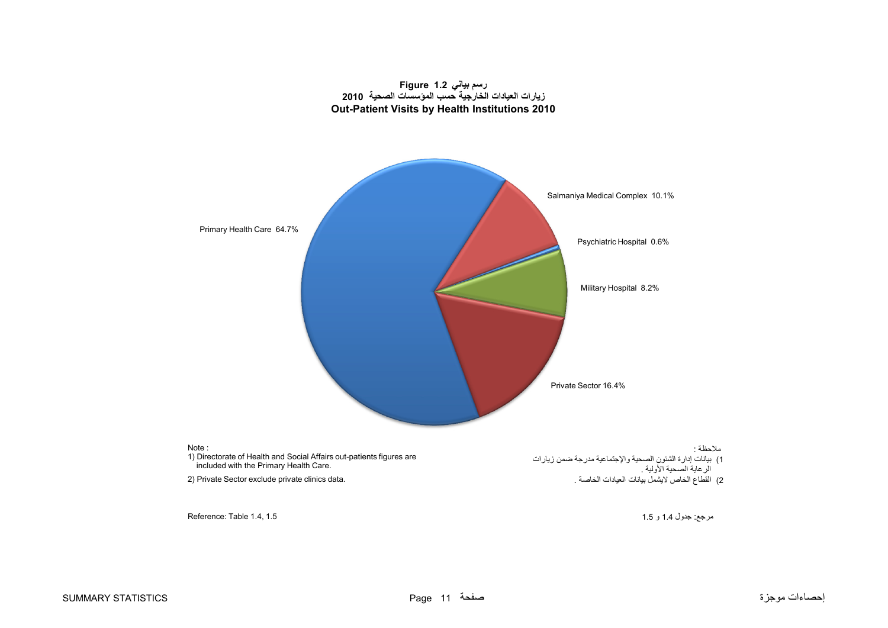### **رسم بياني 1.2 Figure زيارات العيادات الخارجية حسب المؤسسات الصحية <sup>2010</sup> Out-Patient Visits by Health Institutions 2010**

<span id="page-11-0"></span>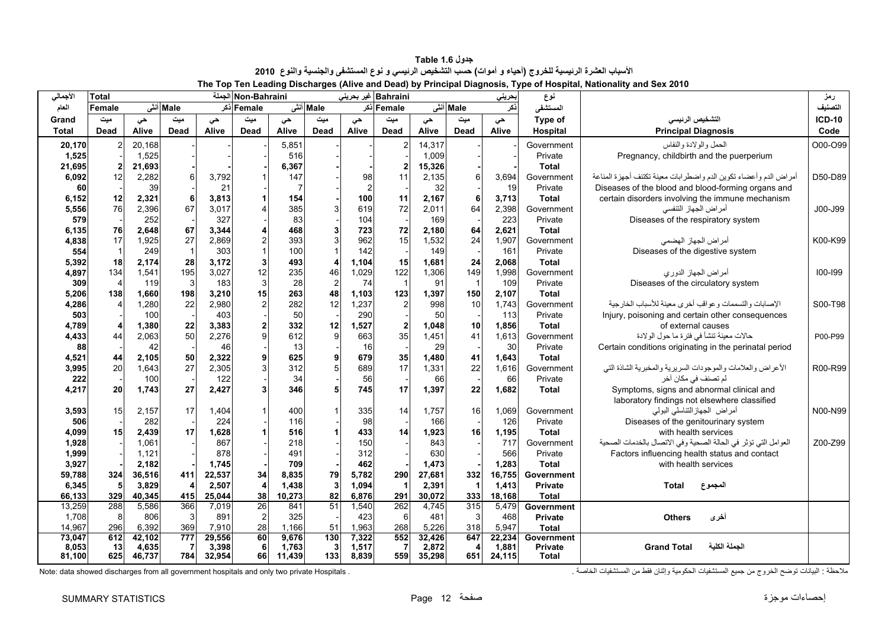**جدول 1.6 Table** الأسباب العشرة الرنيسية للخروج (أحياء و أموات) حسب التشخيص الرنيسي و نوع المستشفى والجنسية والنوع 2010 **The Top Ten Leading Discharges (Alive and Dead) by Principal Diagnosis, Type of Hospital, Nationality and Sex 2010** 

<span id="page-12-0"></span>

| الأجمالي     | <b>Total</b>   |        |          |              | Non-Bahraini الجملة |           |                         |                | Bahraini غیر بحرینی |        |                         | بحرينى | نوع            |                                                                  | رمز           |
|--------------|----------------|--------|----------|--------------|---------------------|-----------|-------------------------|----------------|---------------------|--------|-------------------------|--------|----------------|------------------------------------------------------------------|---------------|
| العام        | Female         |        | Male أنش |              | Female ذکر          |           | Male أنش                |                | Female أذكر         |        | Male أنش                | ذكر    | المستشفى       |                                                                  | التصنيف       |
| Grand        | ميت            | حي     | میت      | حى           | ميت                 | حى        | میت                     | حى             | میت                 | حى     | میت                     | حي     | Type of        | التشخيص الرئيسى                                                  | <b>ICD-10</b> |
| Total        | Dead           | Alive  | Dead     | Alive        | <b>Dead</b>         | Alive     | <b>Dead</b>             | Alive          | <b>Dead</b>         | Alive  | <b>Dead</b>             | Alive  | Hospital       | <b>Principal Diagnosis</b>                                       | Code          |
| 20,170       |                | 20,168 |          |              |                     | 5,851     |                         |                | $\mathcal{P}$       | 14,317 |                         |        | Government     | الحمل والولادة والنفاس                                           | O00-O99       |
| 1,525        |                | 1,525  |          |              |                     | 516       |                         |                |                     | 1,009  |                         |        | Private        | Pregnancy, childbirth and the puerperium                         |               |
| 21,695       | $\overline{2}$ | 21,693 |          |              |                     | 6,367     |                         |                |                     | 15,326 |                         |        | <b>Total</b>   |                                                                  |               |
| 6,092        | 12             | 2,282  |          | 3,792        |                     | 147       |                         | 98             | 11                  | 2,135  | 6                       | 3,694  | Government     | أمراض الدم وأعضاء تكوين الدم واضطرابات معينة تكتنف أجهزة المناعة | D50-D89       |
| 60           |                | 39     |          | 21           |                     |           |                         | $\overline{2}$ |                     | 32     |                         | 19     | Private        | Diseases of the blood and blood-forming organs and               |               |
| 6,152        | 12             | 2,321  | 6        | 3,813        |                     | 154       |                         | 100            | 11                  | 2,167  | 6                       | 3,713  | <b>Total</b>   | certain disorders involving the immune mechanism                 |               |
| 5,556        | 76             | 2,396  | 67       | 3,017        |                     | 385       | 3                       | 619            | 72                  | 2,011  | 64                      | 2,398  | Government     | أمراض الجهاز التنفسي                                             | J00-J99       |
| 579          |                | 252    |          | 327          |                     | 83        |                         | 104            |                     | 169    |                         | 223    | Private        | Diseases of the respiratory system                               |               |
| 6,135        | 76             | 2,648  | 67       | 3,344        |                     | 468       |                         | 723            | 72                  | 2,180  | 64                      | 2,621  | <b>Total</b>   |                                                                  |               |
| 4,838        | 17             | 1,925  | 27       | 2,869        | $\overline{2}$      | 393       | 3                       | 962            | 15                  | 1,532  | 24                      | 1,907  | Government     | أمراض الجهاز الهضمى                                              | K00-K99       |
| 554          |                | 249    |          | 303          |                     | 100       |                         | 142            |                     | 149    |                         | 161    | Private        | Diseases of the digestive system                                 |               |
| 5,392        | 18             | 2,174  | 28       | 3,172        | 3 <sup>1</sup>      | 493       |                         | 1,104          | 15                  | 1,681  | 24                      | 2,068  | <b>Total</b>   |                                                                  |               |
| 4,897        | 134            | 1,541  | 195      | 3,027        | 12                  | 235       | 46                      | 1,029          | 122                 | 1,306  | 149                     | 1,998  | Government     | أمراض الجهاز الدوري                                              | $100 - 199$   |
| 309          | $\overline{4}$ | 119    | 3        | 183          | $\overline{3}$      | 28        | $\overline{c}$          | 74             | $\overline{1}$      | 91     | $\overline{1}$          | 109    | Private        | Diseases of the circulatory system                               |               |
| 5,206        | 138            | 1,660  | 198      | 3,210        | 15                  | 263       | 48                      | 1,103          | 123                 | 1,397  | 150                     | 2,107  | <b>Total</b>   |                                                                  |               |
| 4,286        |                | 1,280  | 22       | 2,980        |                     | 282       | 12                      | 1,237          |                     | 998    | 10                      | 1,743  | Government     | الإصابات والتسممات وعواقب أخرى معينة للأسباب الخارجية            | S00-T98       |
| 503          |                | 100    |          | 403          |                     | 50        |                         | 290            |                     | 50     |                         | 113    | Private        | Injury, poisoning and certain other consequences                 |               |
| 4,789        |                | 1,380  | 22       | 3,383        | 2                   | 332       | 12                      | 1,527          | $\overline{2}$      | 1,048  | 10                      | 1,856  | <b>Total</b>   | of external causes                                               |               |
| 4,433        | 44             | 2,063  | 50       | 2,276        | 9                   | 612       | 9                       | 663            | 35                  | 1,451  | 41                      | 1,613  | Government     | حالات معينة تنشأ في فترة ما حول الولادة                          | P00-P99       |
| 88           |                | 42     |          | 46           |                     | 13        |                         | 16             |                     | 29     |                         | 30     | Private        | Certain conditions originating in the perinatal period           |               |
| 4,521        | 44             | 2,105  | 50       | 2,322        | $\mathbf{9}$<br>3   | 625       |                         | 679            | 35<br>17            | 1,480  | 41                      | 1,643  | <b>Total</b>   |                                                                  |               |
| 3,995        | 20             | 1,643  | 27       | 2,305        |                     | 312       |                         | 689            |                     | 1,331  | 22                      | 1,616  | Government     | الأعراض والعلامات والموجودات السريرية والمخبرية الشاذة التي      | R00-R99       |
| 222          | 20             | 100    | 27       | 122<br>2,427 | 3                   | 34<br>346 |                         | 56<br>745      | 17                  | 66     | 22                      | 66     | Private        | لم تصنف في مكان أخر<br>Symptoms, signs and abnormal clinical and |               |
| 4,217        |                | 1,743  |          |              |                     |           |                         |                |                     | 1,397  |                         | 1,682  | <b>Total</b>   | laboratory findings not elsewhere classified                     |               |
|              | 15             | 2,157  | 17       | 1,404        |                     | 400       |                         | 335            | 14                  | 1,757  | 16                      | 1,069  | Government     | أمراض الجهاز التناسلي البولبي                                    | N00-N99       |
| 3,593<br>506 |                | 282    |          | 224          |                     | 116       |                         | 98             |                     | 166    |                         | 126    | Private        | Diseases of the genitourinary system                             |               |
| 4,099        | 15             | 2,439  | 17       | 1,628        |                     | 516       |                         | 433            | 14                  | 1,923  | 16                      | 1,195  | <b>Total</b>   | with health services                                             |               |
| 1,928        |                | 1,061  |          | 867          |                     | 218       |                         | 150            |                     | 843    |                         | 717    | Government     | العوامل التي تؤثر في الحالة الصحية وفي الاتصال بالخدمات الصحية   | Z00-Z99       |
| 1,999        |                | 1,121  |          | 878          |                     | 491       |                         | 312            |                     | 630    |                         | 566    | Private        | Factors influencing health status and contact                    |               |
| 3,927        |                | 2,182  |          | 1,745        |                     | 709       |                         | 462            |                     | 1,473  |                         | 1,283  | <b>Total</b>   | with health services                                             |               |
| 59,788       | 324            | 36,516 | 411      | 22,537       | 34                  | 8,835     | 79                      | 5,782          | 290                 | 27,681 | 332                     | 16,755 | Government     |                                                                  |               |
| 6,345        |                | 3,829  |          | 2,507        |                     | 1,438     | $\overline{\mathbf{3}}$ | 1,094          |                     | 2,391  | $\overline{\mathbf{1}}$ | 1,413  | <b>Private</b> | Total<br>المجموع                                                 |               |
| 66,133       | 329            | 40,345 | 415      | 25,044       | 38                  | 10,273    | 82                      | 6,876          | 291                 | 30,072 | 333                     | 18,168 | <b>Total</b>   |                                                                  |               |
| 13,259       | 288            | 5,586  | 366      | 7,019        | 26                  | 841       | $\overline{51}$         | 1,540          | 262                 | 4,745  | 315                     | 5,479  | Government     |                                                                  |               |
| 1,708        | 8              | 806    | 3        | 891          | $\overline{2}$      | 325       |                         | 423            | 6                   | 481    | 3                       | 468    | <b>Private</b> | أخرى<br><b>Others</b>                                            |               |
| 14,967       | 296            | 6,392  | 369      | 7,910        | 28                  | 1,166     | 51                      | 1,963          | 268                 | 5,226  | 318                     | 5,947  | <b>Total</b>   |                                                                  |               |
| 73,047       | 612            | 42,102 | 777      | 29,556       | 60                  | 9,676     | 130                     | 7,322          | 552                 | 32,426 | 647                     | 22,234 | Government     |                                                                  |               |
| 8,053        | 13             | 4,635  |          | 3,398        | 6                   | 1,763     | 3                       | 1,517          | 7                   | 2,872  | 4                       | 1,881  | <b>Private</b> | الجملة الكلية<br><b>Grand Total</b>                              |               |
| 81,100       | 625            | 46,737 | 784      | 32,954       | 66                  | 11,439    | 133                     | 8,839          | 559                 | 35,298 | 651                     | 24,115 | <b>Total</b>   |                                                                  |               |

ملاحظة : البيانات توضح الخروج من جميع المستشفيات الحكومية وإثنان فقط من المستشفيات الخاصة . . . . Note: data showed discharges from all government hospitals and only two private Hospitals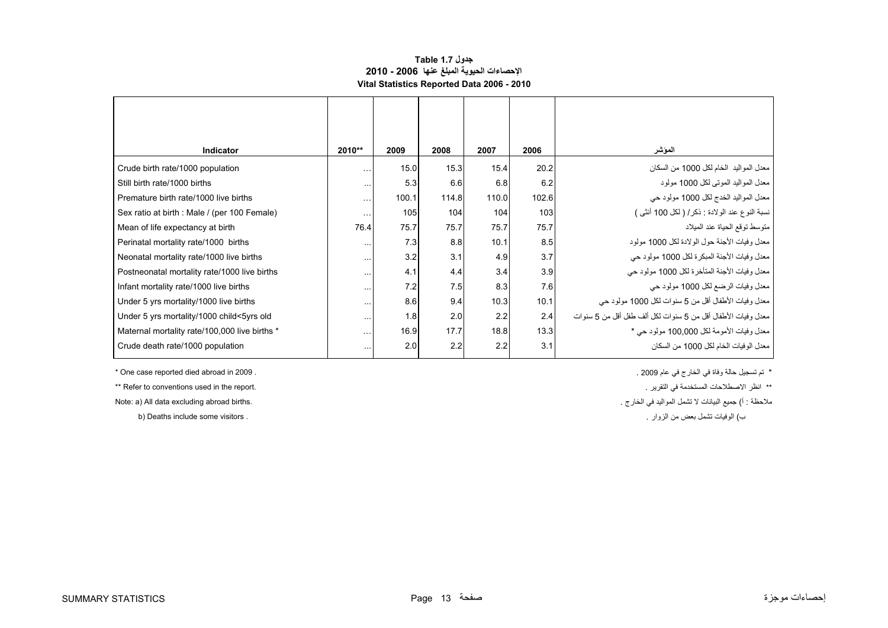### **جدول 1.7 Table اإلحصاءات الحيوية المبلغ عنھا 2006 - 2010 Vital Statistics Reported Data 2006 - 2010**

<span id="page-13-0"></span>

| <b>Indicator</b>                              | 2010**    | 2009  | 2008  | 2007  | 2006  | المؤشر                                                       |
|-----------------------------------------------|-----------|-------|-------|-------|-------|--------------------------------------------------------------|
| Crude birth rate/1000 population              | $\cdots$  | 15.0  | 15.3  | 15.4  | 20.2  | معدل المواليد  الخام لكل 1000 من السكان                      |
| Still birth rate/1000 births                  | $\cdots$  | 5.3   | 6.6   | 6.8   | 6.2   | معدل المواليد الموتبي لكل 1000 مولود                         |
| Premature birth rate/1000 live births         | $\cdots$  | 100.1 | 114.8 | 110.0 | 102.6 | معدل المواليد الخدج لكل 1000 مولود حي                        |
| Sex ratio at birth : Male / (per 100 Female)  | $\cdots$  | 105   | 104   | 104   | 103   | نسبة النوع عند الولادة : ذكر/ ( لكل 100 أنثى )               |
| Mean of life expectancy at birth              | 76.4      | 75.7  | 75.7  | 75.7  | 75.7  | متوسط توقع الحياة عند الميلاد                                |
| Perinatal mortality rate/1000 births          | $\cdots$  | 7.3   | 8.8   | 10.1  | 8.5   | معدل وفيات الأجنة حول الولادة لكل 1000 مولود                 |
| Neonatal mortality rate/1000 live births      | $\cdots$  | 3.2   | 3.1   | 4.9   | 3.7   | معدل وفيات الأجنة المبكرة لكل 1000 مولود حي                  |
| Postneonatal mortality rate/1000 live births  | $\cdots$  | 4.1   | 4.4   | 3.4   | 3.9   | معدل وفيات الأجنة المتأخرة لكل 1000 مولود حي                 |
| Infant mortality rate/1000 live births        | $\cdots$  | 7.2   | 7.5   | 8.3   | 7.6   | معدل وفيات الرضع لكل 1000 مولود حي                           |
| Under 5 yrs mortality/1000 live births        | $\cdots$  | 8.6   | 9.4   | 10.3  | 10.1  | معدل وفيات الأطفال أقل من 5 سنوات لكل 1000 مولود حي          |
| Under 5 yrs mortality/1000 child<5yrs old     | $\cdots$  | 1.8   | 2.0   | 2.2   | 2.4   | معدل وفيات الأطفال أقل من 5 سنوات لكل ألف طفل أقل من 5 سنوات |
| Maternal mortality rate/100,000 live births * | $\ddotsc$ | 16.9  | 17.7  | 18.8  | 13.3  | معدل وفيات الأمومة لكل 100,000 مولود حي *                    |
| Crude death rate/1000 population              |           | 2.0   | 2.2   | 2.2   | 3.1   | معدل الو فيات الخام لكل 1000 من السكان                       |
|                                               |           |       |       |       |       |                                                              |

\*\* Refer to conventions used in the report. . . . . . انظر الاصطلاحات المستخدمة في التقرير في التقرير في التقر

b) Deaths include some visitors .

\* تم تسجيل حالة وفاة في الخارج في عام 2009 . . 2009 in abroad died reported case One\*

ملاحظة : أ) جميع البيانات لا تشمل المواليد في الخارج .<br>المجمع البيانات المواطيد في الخارج .

ب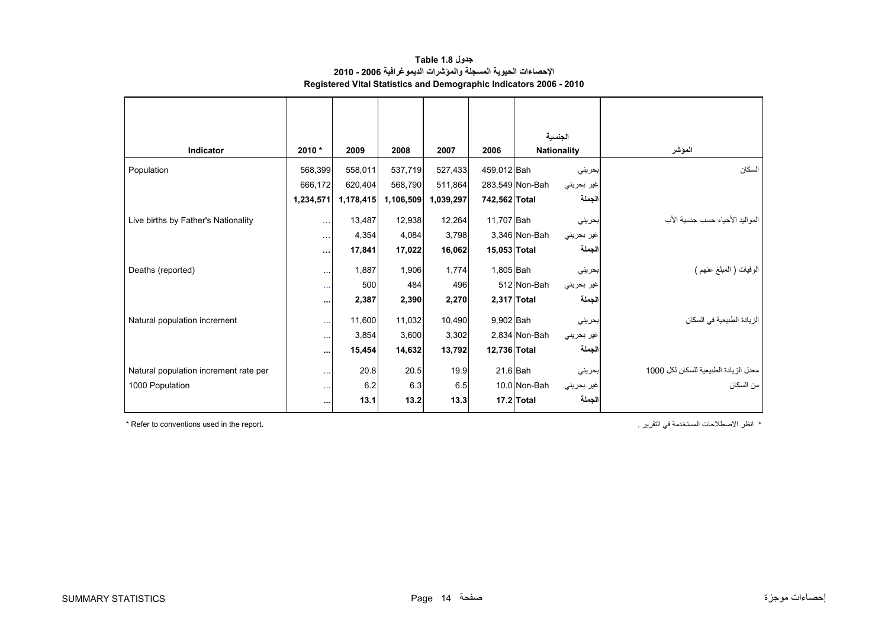| جدول Table 1.8                                                            |
|---------------------------------------------------------------------------|
| الإحصاءات الحيوية المسجلة والموشرات الديموغرافية 2006 - 2010              |
| <b>Registered Vital Statistics and Demographic Indicators 2006 - 2010</b> |

<span id="page-14-0"></span>

| Indicator                             | 2010 *               | 2009      | 2008      | 2007      | 2006          | الجنسية                       |                                       |
|---------------------------------------|----------------------|-----------|-----------|-----------|---------------|-------------------------------|---------------------------------------|
|                                       |                      |           |           |           |               | <b>Nationality</b>            | المؤشر                                |
| Population                            | 568,399              | 558,011   | 537,719   | 527,433   | 459,012 Bah   | بحريني                        | السكان                                |
|                                       | 666,172              | 620,404   | 568,790   | 511,864   |               | 283,549 Non-Bah<br>غیر بحرینی |                                       |
|                                       | 1,234,571            | 1,178,415 | 1,106,509 | 1,039,297 | 742,562 Total | الجملة                        |                                       |
| Live births by Father's Nationality   | $\cdots$             | 13,487    | 12,938    | 12,264    | 11,707 Bah    | بحريني                        | المو البد الأحباء حسب جنسبة الأب      |
|                                       | $\sim$ $\sim$ $\sim$ | 4,354     | 4,084     | 3,798     |               | 3,346 Non-Bah<br>غير بحريني   |                                       |
|                                       | $\cdots$             | 17,841    | 17,022    | 16,062    | 15,053 Total  | الجملة                        |                                       |
| Deaths (reported)                     | $\ddotsc$            | 1,887     | 1,906     | 1,774     | 1,805 Bah     | بحرينى                        | الوفيات ( المعلَّغ عنهم )             |
|                                       | $\ldots$             | 500       | 484       | 496       |               | 512 Non-Bah<br>غیر بحرینی     |                                       |
|                                       | $\cdots$             | 2,387     | 2,390     | 2,270     | 2,317 Total   | الجملة                        |                                       |
| Natural population increment          | $\ddotsc$            | 11,600    | 11,032    | 10,490    | 9,902 Bah     | بحريني                        | الزيادة الطبيعية في السكان            |
|                                       | $\cdots$             | 3,854     | 3,600     | 3,302     |               | 2,834 Non-Bah<br>غیر بحرینی   |                                       |
|                                       | $\cdots$             | 15,454    | 14,632    | 13,792    | 12,736 Total  | الجملة                        |                                       |
| Natural population increment rate per | $\cdots$             | 20.8      | 20.5      | 19.9      | $21.6$ Bah    | بحريني                        | معدل الزيادة الطبيعية للسكان لكل 1000 |
| 1000 Population                       | $\cdots$             | 6.2       | 6.3       | 6.5       |               | 10.0 Non-Bah<br>غير بحريني    | من السكان                             |
|                                       | $\cdots$             | 13.1      | 13.2      | 13.3      |               | الجملة<br>17.2 Total          |                                       |

\* Refer to conventions used in the report. . . . . . . انظر الاصطلاحات المستخدمة في التقرير "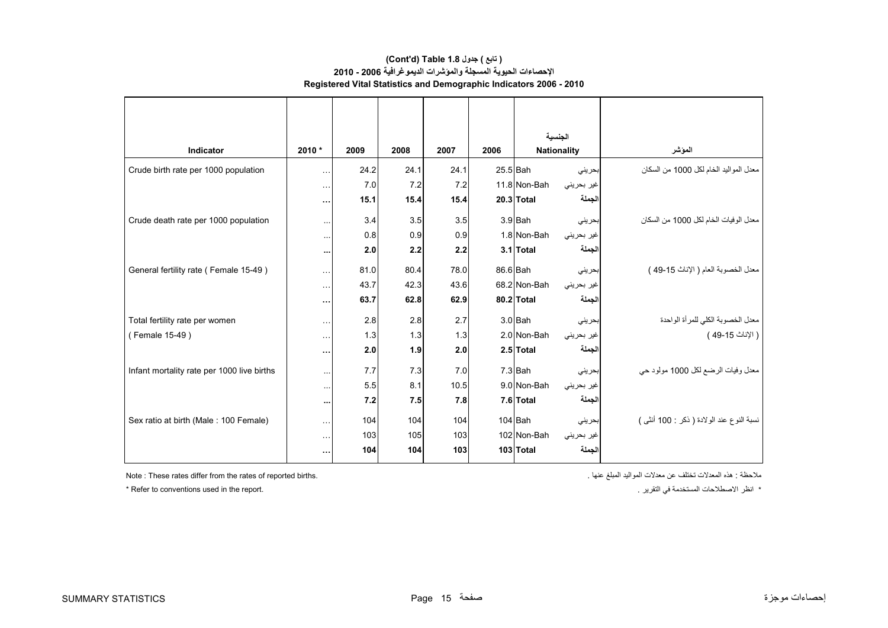### **اإلحصاءات الحيوية المسجلة والمؤشرات الديموغرافية 2006 - 2010 Registered Vital Statistics and Demographic Indicators 2006 - 2010 (Cont'd) Table 1.8 جدول ) تابع(**

|                                            |                      |      |      |      |      | الحنسبة            |            |                                            |
|--------------------------------------------|----------------------|------|------|------|------|--------------------|------------|--------------------------------------------|
| Indicator                                  | 2010 *               | 2009 | 2008 | 2007 | 2006 | <b>Nationality</b> |            | الموشر                                     |
| Crude birth rate per 1000 population       | $\sim$ $\sim$ $\sim$ | 24.2 | 24.1 | 24.1 |      | 25.5 Bah           | بحرينى     | معدل المواليد الخام لكل 1000 من السكان     |
|                                            | $\ddotsc$            | 7.0  | 7.2  | 7.2  |      | 11.8 Non-Bah       | غير بحريني |                                            |
|                                            |                      | 15.1 | 15.4 | 15.4 |      | 20.3 Total         | الجملة     |                                            |
|                                            | $\cdots$             |      |      |      |      |                    |            |                                            |
| Crude death rate per 1000 population       | $\cdots$             | 3.4  | 3.5  | 3.5  |      | $3.9$ Bah          | بحريني     | معدل الوفيات الخام لكل 1000 من السكان      |
|                                            | $\cdots$             | 0.8  | 0.9  | 0.9  |      | 1.8 Non-Bah        | غير بحريني |                                            |
|                                            | $\cdots$             | 2.0  | 2.2  | 2.2  |      | $3.1$ Total        | الجملة     |                                            |
| General fertility rate (Female 15-49)      | $\cdots$             | 81.0 | 80.4 | 78.0 |      | 86.6 Bah           | بحريني     | معدل الخصوبة العام ( الإناث 15-49 )        |
|                                            | $\ddotsc$            | 43.7 | 42.3 | 43.6 |      | 68.2 Non-Bah       | غير بحريني |                                            |
|                                            | $\cdots$             | 63.7 | 62.8 | 62.9 |      | 80.2 Total         | الجملة     |                                            |
| Total fertility rate per women             | $\ldots$             | 2.8  | 2.8  | 2.7  |      | $3.0$ Bah          | بحريني     | معدل الخصوبة الكلي للمرأة الواحدة          |
| (Female 15-49)                             | $\sim$ $\sim$        | 1.3  | 1.3  | 1.3  |      | 2.0 Non-Bah        | غير بحريني | ( الإناث 15-49 )                           |
|                                            | $\cdots$             | 2.0  | 1.9  | 2.0  |      | 2.5 Total          | الجملة     |                                            |
| Infant mortality rate per 1000 live births | $\cdots$             | 7.7  | 7.3  | 7.0  |      | $7.3$ Bah          | بحريني     | معدل وفيات الرضع لكل 1000 مولود حي         |
|                                            | $\cdots$             | 5.5  | 8.1  | 10.5 |      | 9.0 Non-Bah        | غير بحريني |                                            |
|                                            | $\cdots$             | 7.2  | 7.5  | 7.8  |      | 7.6 Total          | لجملة      |                                            |
|                                            |                      |      |      |      |      |                    |            |                                            |
| Sex ratio at birth (Male: 100 Female)      | $\sim$ $\sim$ $\sim$ | 104  | 104  | 104  |      | $104$ Bah          | بحريني     | نسبة النوع عند الولادة ( ذكر : 100 أنثـي ) |
|                                            | $\cdots$             | 103  | 105  | 103  |      | 102 Non-Bah        | غير بحريني |                                            |
|                                            | $\cdots$             | 104  | 104  | 103  |      | 103 Total          | الجملة     |                                            |

ملاحظة : هذه المعدلات تختلف عن معدلات المواليد المبلغ عنها المبلغ عنها المبلغ المعدالت المعدالت المعدالت المعد

\* Refer to conventions used in the report. . . . . . انظر الاصطلاحات المستخدمة في التقرير "Refer to conventions used in the report.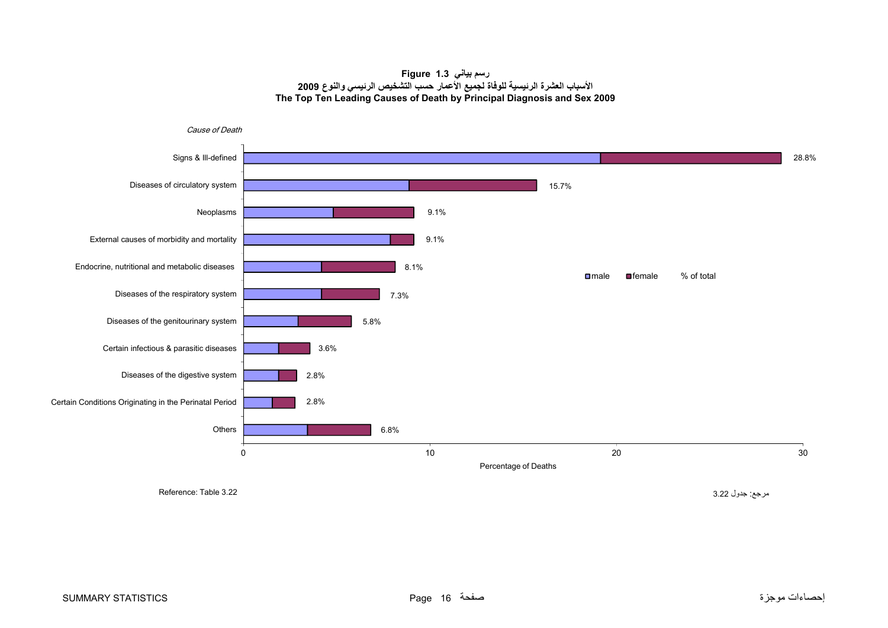### **رسم بياني 1.3 Figure األسباب العشرة الرئيسية للوفاة لجميع األعمار حسب التشخيص الرئيسي والنوع <sup>2009</sup> The Top Ten Leading Causes of Death by Principal Diagnosis and Sex 2009**

<span id="page-16-0"></span>

مرجع: جدول 3.22 3.22 Table :Reference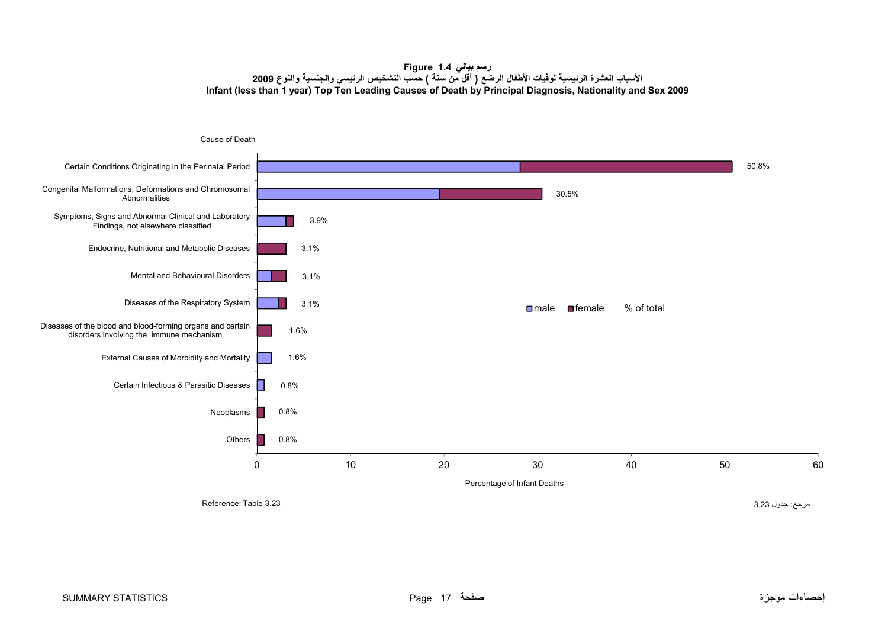**رسم بياني 1.4 Figure األسباب العشرة الرئيسية لوفيات األطفال الرضع ( أقل من سنة ) حسب التشخيص الرئيسي والجنسية والنوع <sup>2009</sup> Infant (less than 1 year) Top Ten Leading Causes of Death by Principal Diagnosis, Nationality and Sex 2009**

<span id="page-17-0"></span>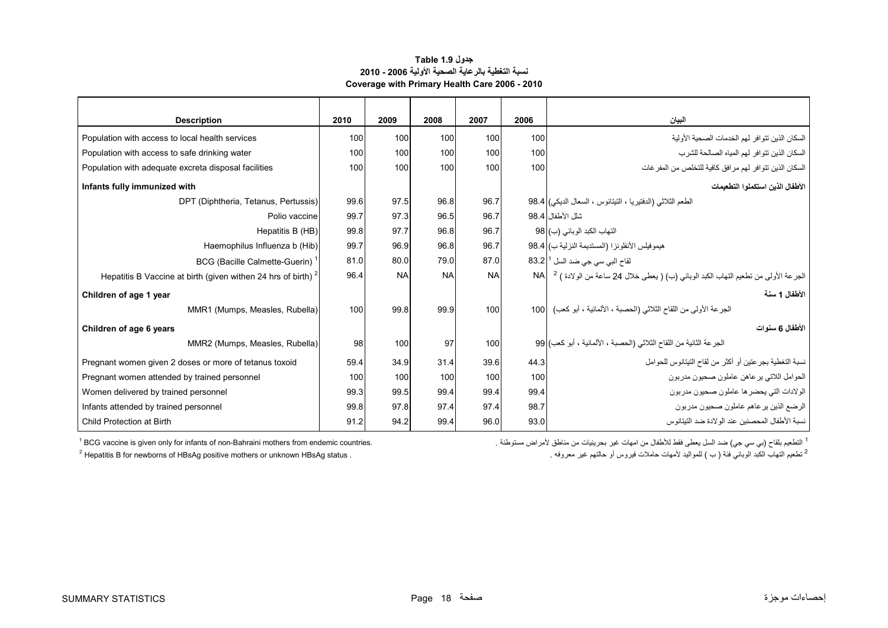### **جدول 1.9 Table نسبة التغطية بالرعاية الصحية األولية 2006 - 2010 Coverage with Primary Health Care 2006 - 2010**

| <b>Description</b>                                              | 2010 | 2009      | 2008      | 2007      | 2006 | البيان                                                                                           |  |
|-----------------------------------------------------------------|------|-----------|-----------|-----------|------|--------------------------------------------------------------------------------------------------|--|
| Population with access to local health services                 | 100  | 100       | 100       | 100       | 100  | السكان الذين تتوافر لهم الخدمات الصحية الأولية                                                   |  |
| Population with access to safe drinking water                   | 100  | 100       | 100       | 100       | 100  | السكان الذين تتوافر لهم المياه الصالحة للشرب                                                     |  |
| Population with adequate excreta disposal facilities            | 100  | 100       | 100       | 100       | 100  | السكان الذين تتوافر لهم مرافق كافية للتخلص من المفر غات                                          |  |
| Infants fully immunized with                                    |      |           |           |           |      | الأطفال الذين استكملو ا التطعيمات                                                                |  |
| DPT (Diphtheria, Tetanus, Pertussis)                            | 99.6 | 97.5      | 96.8      | 96.7      |      | الطعم الثلاثي (الدفتيريا ، التيتانوس ، السعال الديكي)  38.4                                      |  |
| Polio vaccine                                                   | 99.7 | 97.3      | 96.5      | 96.7      |      | شلل الأطفال 98.4                                                                                 |  |
| Hepatitis B (HB)                                                | 99.8 | 97.7      | 96.8      | 96.7      |      | التهاب الكبد الوبائي (ب) 98                                                                      |  |
| Haemophilus Influenza b (Hib)                                   | 99.7 | 96.9      | 96.8      | 96.7      |      | هيموفيلس الأنفلونزا (المستديمة النزلية ب) 98.4                                                   |  |
| BCG (Bacille Calmette-Guerin)                                   | 81.0 | 80.0      | 79.0      | 87.0      |      | لقاح الب <i>ي</i> س <i>ي جي</i> ضد السل <sup>1</sup>  83.2                                       |  |
| Hepatitis B Vaccine at birth (given withen 24 hrs of birth) $2$ | 96.4 | <b>NA</b> | <b>NA</b> | <b>NA</b> |      | الجرعة الأولى من تطعيم التهاب الكبد الوبائي (ب) ( يعطي خلال 24 ساعة من الولادة ) <sup>2</sup> NA |  |
| Children of age 1 year                                          |      |           |           |           |      | الأطفال 1 سنة                                                                                    |  |
| MMR1 (Mumps, Measles, Rubella)                                  | 100  | 99.8      | 99.9      | 100       |      | الجرعة الأولى من اللقاح الثلاثي (الحصبة ، الألمانية ، أبو كعب)  100                              |  |
| Children of age 6 years                                         |      |           |           |           |      | الأطفال 6 سنوات                                                                                  |  |
| MMR2 (Mumps, Measles, Rubella)                                  | 98   | 100       | 97        | 100       |      | الجرعة الثانية من اللقاح الثلاثي (الحصبة ، الألمانية ، أبو كعب) [99                              |  |
| Pregnant women given 2 doses or more of tetanus toxoid          | 59.4 | 34.9      | 31.4      | 39.6      | 44.3 | نسبة التغطية بجر عتين أو أكثر من لقاح التيتانوس للحوامل                                          |  |
| Pregnant women attended by trained personnel                    | 100  | 100       | 100       | 100       | 100  | الحوامل اللاتي يرعاهن عاملون صحيون مدربون                                                        |  |
| Women delivered by trained personnel                            | 99.3 | 99.5      | 99.4      | 99.4      | 99.4 | الولادات التي يحضر ها عاملون صحيون مدربون                                                        |  |
| Infants attended by trained personnel                           | 99.8 | 97.8      | 97.4      | 97.4      | 98.7 | الرضع الذين يرعاهم عاملون صحيون مدربون                                                           |  |
| Child Protection at Birth                                       | 91.2 | 94.2      | 99.4      | 96.0      | 93.0 | نسبة الأطفال المحصنين عند الولادة ضد التيتانوس                                                   |  |

 $<sup>1</sup>$  BCG vaccine is given only for infants of non-Bahraini mothers from endemic countries.</sup>

<sup>1</sup> التطعيم بلقاح (بي سي جي<br><sup>2</sup> تطعيم التهاب الكبد الوبائي

<sup>2</sup> Hepatitis B for newborns of HBsAg positive mothers or unknown HBsAg status .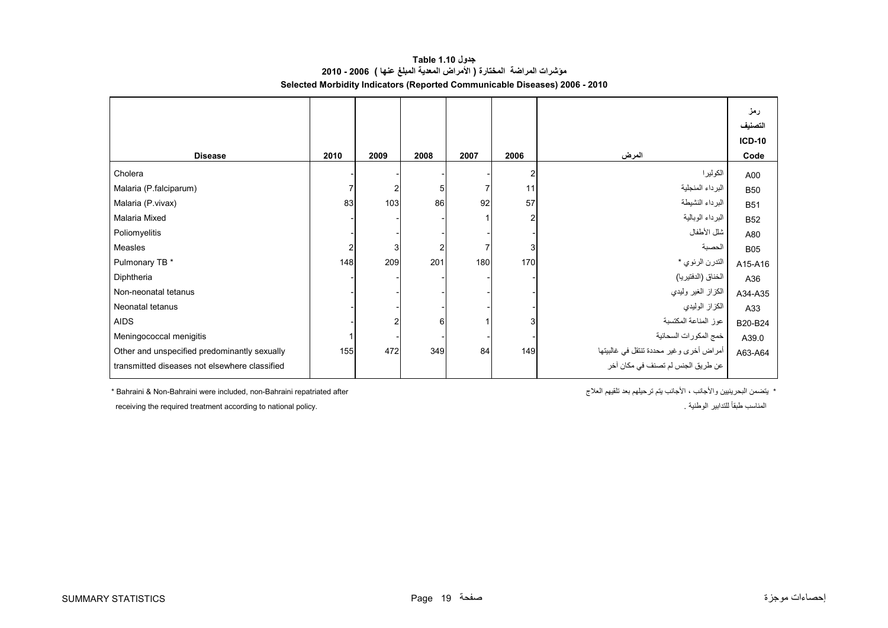<span id="page-19-0"></span>

|                                               |                |      |                |      |                |                                         | رمز<br>التصنيف<br><b>ICD-10</b> |
|-----------------------------------------------|----------------|------|----------------|------|----------------|-----------------------------------------|---------------------------------|
| <b>Disease</b>                                | 2010           | 2009 | 2008           | 2007 | 2006           | المرض                                   | Code                            |
| Cholera                                       |                |      |                |      | $\overline{2}$ | الكوليرا                                | A00                             |
| Malaria (P.falciparum)                        |                |      | 5 <sub>l</sub> |      | 11             | البرداء المنجلية                        | <b>B50</b>                      |
| Malaria (P.vivax)                             | 83             | 103  | 86             | 92   | 57             | البرداء النشيطة                         | <b>B51</b>                      |
| Malaria Mixed                                 |                |      |                |      | $\overline{2}$ | البرداء الوبالية                        | <b>B52</b>                      |
| Poliomyelitis                                 |                |      |                |      |                | شلل الأطفال                             | A80                             |
| Measles                                       | $\overline{2}$ | 3    | $\overline{2}$ |      | 3              | الحصبة                                  | <b>B05</b>                      |
| Pulmonary TB *                                | 148            | 209  | 201            | 180  | 170            | التدرن الرئوي *                         | A15-A16                         |
| Diphtheria                                    |                |      |                |      |                | الخناق (الدفتيريا)                      | A36                             |
| Non-neonatal tetanus                          |                |      |                |      |                | الكزاز الغير وليدي                      | A34-A35                         |
| Neonatal tetanus                              |                |      |                |      |                | الكزاز الوليدي                          | A33                             |
| <b>AIDS</b>                                   |                |      | 6              |      | 3              | عوز المناعة المكتسبة                    | B20-B24                         |
| Meningococcal menigitis                       |                |      |                |      |                | خمج المكورات السحائية                   | A39.0                           |
| Other and unspecified predominantly sexually  | 155            | 472  | 349            | 84   | 149            | أمراض أخرى وغير محددة تنتقل في غالبيتها | A63-A64                         |
| transmitted diseases not elsewhere classified |                |      |                |      |                | عن طريق الجنس لم تصنف في مكان آخر       |                                 |

**جدول 1.10 Table مؤشرات المراضة المختارة ( األمراض المعدية المبلغ عنھا ) 2006 - 2010 Selected Morbidity Indicators (Reported Communicable Diseases) 2006 - 2010**

 $*$  Bahraini & Non-Bahraini were included, non-Bahraini repatriated after

\* يتضمن البحرينيين والأجانب ، الأجانب يتم ترحيلهم بعد تلقيهم العلاج

receiving the required treatment according to national policy. . الوطنية للتدابير ًطبقا المناسب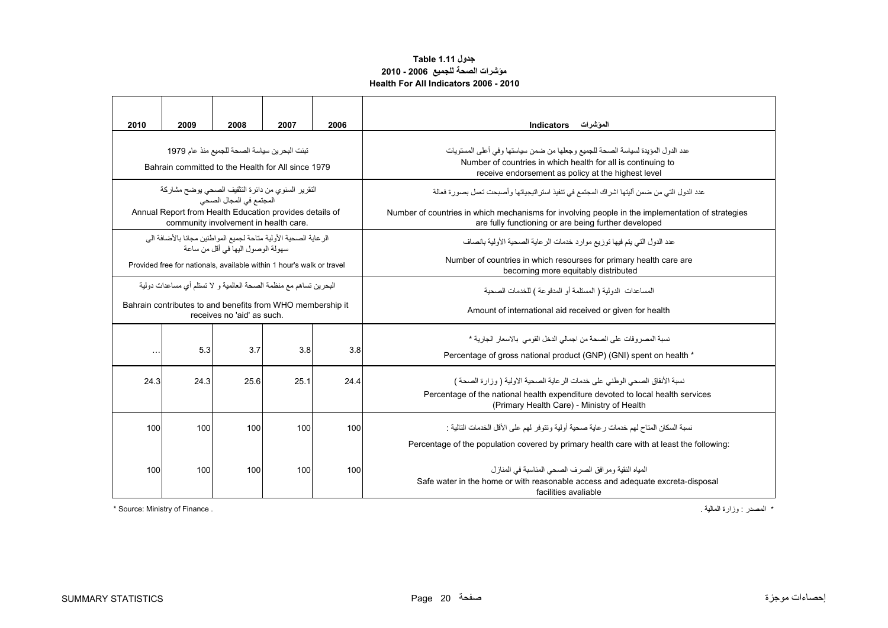### **جدول 1.11 Table مؤشرات الصحة للجميع 2006 - 2010 Health For All Indicators 2006 - 2010**

<span id="page-20-0"></span>

| 2010                                                                                                                                                                              | 2009                                                                                                                                                             | 2008 | 2007 | 2006 | الموشرات<br><b>Indicators</b>                                                                                                                                                                                                                             |  |  |  |  |
|-----------------------------------------------------------------------------------------------------------------------------------------------------------------------------------|------------------------------------------------------------------------------------------------------------------------------------------------------------------|------|------|------|-----------------------------------------------------------------------------------------------------------------------------------------------------------------------------------------------------------------------------------------------------------|--|--|--|--|
| تبنت البحرين سياسة الصحة للجميع منذ عام 1979<br>Bahrain committed to the Health for All since 1979                                                                                |                                                                                                                                                                  |      |      |      | عدد الدول المؤيدة لسياسة الصحة للجميع وجعلها من ضمن سياستها وفي أعلى المستويات<br>Number of countries in which health for all is continuing to<br>receive endorsement as policy at the highest level                                                      |  |  |  |  |
| التقرير السنوى من دائر ة التثقيف الصحى يوضح مشاركة<br>المجتمع في المجال الصحي<br>Annual Report from Health Education provides details of<br>community involvement in health care. |                                                                                                                                                                  |      |      |      | عدد الدول التي من ضمن آليتها اشر اك المجتمع في تنفيذ استر اتيجياتها و أصبحت تعمل بصور ة فعالة<br>Number of countries in which mechanisms for involving people in the implementation of strategies<br>are fully functioning or are being further developed |  |  |  |  |
| الرعاية الصحية الأولية مناحة لجميع المواطنين مجانا بالأضافة الى<br>سهو لة الوصو ل اليها في أقل من ساعة<br>Provided free for nationals, available within 1 hour's walk or travel   |                                                                                                                                                                  |      |      |      | عدد الدول التي يتم فيها توزيع موارد خدمات الرعاية الصحية الأولية بانصاف<br>Number of countries in which resourses for primary health care are<br>becoming more equitably distributed                                                                      |  |  |  |  |
|                                                                                                                                                                                   | البحر بن تساهم مع منظمة الصحة العالمية و  لا تستلم أي مساعدات دو لية<br>Bahrain contributes to and benefits from WHO membership it<br>receives no 'aid' as such. |      |      |      | المساعدات الدولية ( المستلمة أو المدفوعة ) للخدمات الصحية<br>Amount of international aid received or given for health                                                                                                                                     |  |  |  |  |
| $\sim$ $\sim$ $\sim$                                                                                                                                                              | 5.3                                                                                                                                                              | 3.7  | 3.8  | 3.8  | نسبة المصر وفات على الصحة من اجمالي الدخل القومي بالاسعار الجارية *<br>Percentage of gross national product (GNP) (GNI) spent on health *                                                                                                                 |  |  |  |  |
| 24.3                                                                                                                                                                              | 24.3                                                                                                                                                             | 25.6 | 25.1 | 24.4 | نسبة الأنفاق الصحي الوطني على خدمات الر عاية الصحية الاولية ( وزارة الصحة )<br>Percentage of the national health expenditure devoted to local health services<br>(Primary Health Care) - Ministry of Health                                               |  |  |  |  |
| 100                                                                                                                                                                               | 100                                                                                                                                                              | 100  | 100  | 100  | نسبة السكان المتاح لهم خدمات ر عاية صحية أولية وتتوفر  لهم على الأقل الخدمات التالية :<br>Percentage of the population covered by primary health care with at least the following:                                                                        |  |  |  |  |
| 100                                                                                                                                                                               | 100                                                                                                                                                              | 100  | 100  | 100  | المياه النقية ومر افق الصر ف الصحى المناسبة في المناز ل<br>Safe water in the home or with reasonable access and adequate excreta-disposal<br>facilities avaliable                                                                                         |  |  |  |  |

\* Source: Ministry of Finance . . المالية وزارة : المصدر\*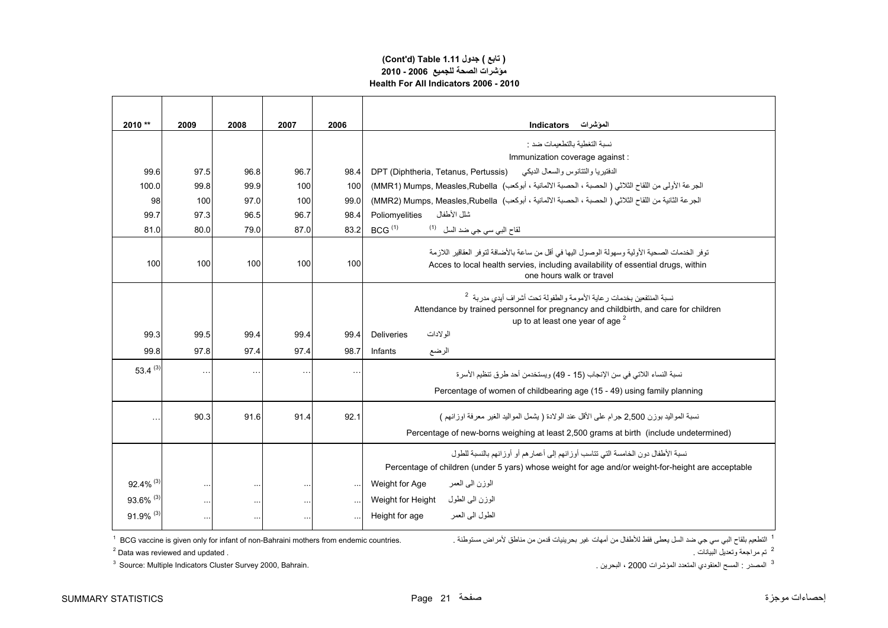### **Health For All Indicators 2006 - 2010مؤشرات الصحة للجميع 2006 - 2010 (Cont'd) Table 1.11 جدول ) تابع(**

| 2010 **                 | 2009                 | 2008     | 2007      | 2006                 | <b>Indicators</b><br>الموشرات                                                                                                                                                                                  |  |
|-------------------------|----------------------|----------|-----------|----------------------|----------------------------------------------------------------------------------------------------------------------------------------------------------------------------------------------------------------|--|
|                         |                      |          |           |                      | نسبة التغطبة بالتطعيمات ضد :                                                                                                                                                                                   |  |
|                         |                      |          |           |                      | Immunization coverage against :                                                                                                                                                                                |  |
| 99.6                    | 97.5                 | 96.8     | 96.7      | 98.4                 | الدفتيريا والتتانوس والسعال الديكي<br>DPT (Diphtheria, Tetanus, Pertussis)                                                                                                                                     |  |
| 100.0                   | 99.8                 | 99.9     | 100       | 100                  | الجرعة الأولى من اللقاح الثلاثي ( الحصبة ، الحصبة الالمانية ، أبوكعب)  MMR1) Mumps, Measles,Rubella)                                                                                                           |  |
| 98                      | 100                  | 97.0     | 100       | 99.0                 | الجرعة الثانية من اللقاح الثلاثي ( الحصبة ، الحصبة الالمانية ، أبوكعب)  MMR2) Mumps, Measles,Rubella)                                                                                                          |  |
| 99.7                    | 97.3                 | 96.5     | 96.7      | 98.4                 | شلل الأطفال<br>Poliomyelities                                                                                                                                                                                  |  |
| 81.0                    | 80.0                 | 79.0     | 87.0      | 83.2                 | BCG <sup>(1)</sup><br>لقاح البي سي جي ضد السل <sup>(1)</sup>                                                                                                                                                   |  |
| 100                     | 100                  | 100      | 100       | 100                  | توفر الخدمات الصحية الأولية وسهولة الوصول اليها في أقل من ساعة بالأضافة لتوفر العقاقير اللازمة<br>Acces to local health servies, including availability of essential drugs, within<br>one hours walk or travel |  |
|                         |                      |          |           |                      | نسبة المنتفعين بخدمات رعاية الأمومة والطفولة تحت أشراف أيدى مدربة <sup>2</sup><br>Attendance by trained personnel for pregnancy and childbirth, and care for children<br>up to at least one year of age $^2$   |  |
| 99.3                    | 99.5                 | 99.4     | 99.4      | 99.4                 | الو لادات<br><b>Deliveries</b>                                                                                                                                                                                 |  |
| 99.8                    | 97.8                 | 97.4     | 97.4      | 98.7                 | الرضع<br>Infants                                                                                                                                                                                               |  |
| 53.4 $(3)$              | $\bar{\mathbf{r}}$ . | $\sim$   | $\ddotsc$ | $\ddotsc$            | نسبة النساء اللاتي في سن الإنجاب (15 - 49) ويستخدمن أحد طرق تنظيم الأسرة                                                                                                                                       |  |
|                         |                      |          |           |                      | Percentage of women of childbearing age (15 - 49) using family planning                                                                                                                                        |  |
| $\ddotsc$               | 90.3                 | 91.6     | 91.4      | 92.1                 | نسبة المواليد يوزن 2.500 جرام على الأقل عند الولادة ( بشمل المواليد الغير "معرفة اوز انهم")<br>Percentage of new-borns weighing at least 2,500 grams at birth (include undetermined)                           |  |
|                         |                      |          |           |                      | نسبة الأطفال دون الخامسة التي تتاسب أوز انهم إلى أعمار هم أو أوز انهم بالنسبة للطول<br>Percentage of children (under 5 yars) whose weight for age and/or weight-for-height are acceptable                      |  |
| $92.4\%$ <sup>(3)</sup> | $\sim$               | $\cdots$ |           | $\ddotsc$            | Weight for Age<br>الوزن الىي العمر                                                                                                                                                                             |  |
| 93.6% (3)               | $\cdots$             | $\ldots$ | $\ldots$  | $\ddot{\phantom{1}}$ | الوزن الىي الطول<br>Weight for Height                                                                                                                                                                          |  |
| 91.9% (3)               | $\ddotsc$            | $\ldots$ | $\sim$    | ä,                   | الطول البي العمر<br>Height for age                                                                                                                                                                             |  |

التطعيم بلقاح البي سي جي ضد السل يعطي فقط للأطفال من أمهات غير بحرينيات قدمن من مناطق لأمراض مستوطنة . .<br>التطعيم بلقاح البي سي جي ضد السل يعطي فقط للأطفال من أمهات غير بحرينيات قدمن من مناطق لأمراض مستوطنة . .

 $^2$  Data was reviewed and updated .  $^2$  - تم مراجعة وتعديل البيانات وتعديل البيانات وتعديل البيانات  $^2$ 

<sup>3</sup> Source: Multiple Indicators Cluster Survey 2000, Bahrain.

<sup>3</sup> المصدر : المسح العنقودي المتعدد المؤشرات 2000 ، البحرين .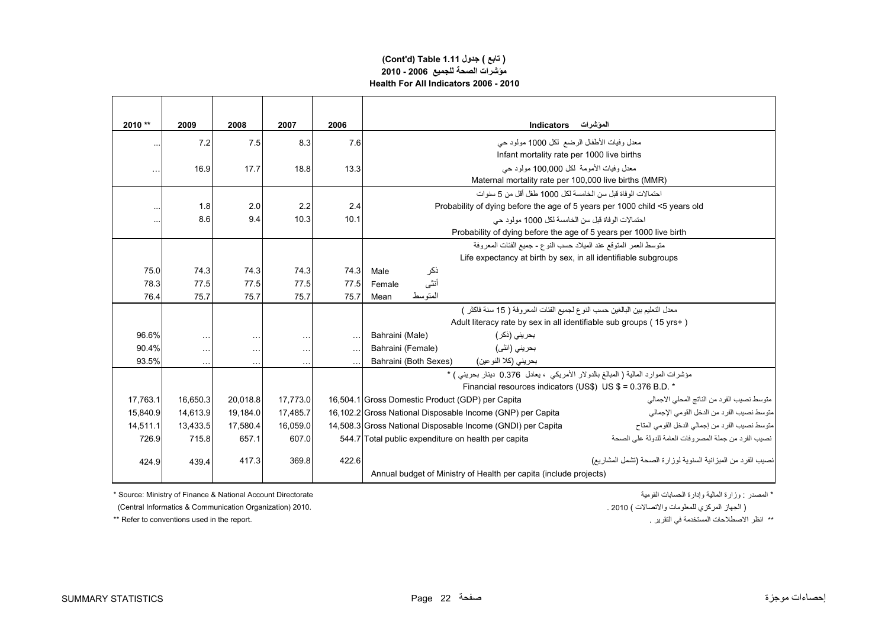### **(Cont'd) Table 1.11 جدول ) تابع( مؤشرات الصحة للجميع 2006 - 2010 Health For All Indicators 2006 - 2010**

| 2010 **   | 2009      | 2008      | 2007      | 2006      | الموشرات<br><b>Indicators</b>                                                                                 |  |  |  |  |  |
|-----------|-----------|-----------|-----------|-----------|---------------------------------------------------------------------------------------------------------------|--|--|--|--|--|
| $\ddotsc$ | 7.2       | 7.5       | 8.3       | 7.6       | معدل وفيات الأطفال الرضع لكل 1000 مولود حي                                                                    |  |  |  |  |  |
|           |           |           |           |           | Infant mortality rate per 1000 live births                                                                    |  |  |  |  |  |
|           | 16.9      | 17.7      | 18.8      | 13.3      | معدل وفيات الأمومة لكل 100,000 مولود حي                                                                       |  |  |  |  |  |
|           |           |           |           |           | Maternal mortality rate per 100,000 live births (MMR)                                                         |  |  |  |  |  |
|           |           |           |           |           | احتمالات الو فاة قبل سن الخامسة لكل 1000 طفل أقل من 5 سنو ات                                                  |  |  |  |  |  |
| $\ddotsc$ | 1.8       | 2.0       | 2.2       | 2.4       | Probability of dying before the age of 5 years per 1000 child <5 years old                                    |  |  |  |  |  |
|           | 8.6       | 9.4       | 10.3      | 10.1      | احتمالات الوفاة قبل سن الخامسة لكل 1000 مولود حي                                                              |  |  |  |  |  |
|           |           |           |           |           | Probability of dying before the age of 5 years per 1000 live birth                                            |  |  |  |  |  |
|           |           |           |           |           | منَّو سط العمر   المنوقع عند الميلاد حسب النو ع - جميع الفئات المعر وفة                                       |  |  |  |  |  |
|           |           |           |           |           | Life expectancy at birth by sex, in all identifiable subgroups                                                |  |  |  |  |  |
| 75.0      | 74.3      | 74.3      | 74.3      | 74.3      | ذكر<br>Male                                                                                                   |  |  |  |  |  |
| 78.3      | 77.5      | 77.5      | 77.5      | 77.5      | أنثى<br>Female                                                                                                |  |  |  |  |  |
| 76.4      | 75.7      | 75.7      | 75.7      | 75.7      | المتوسط<br>Mean                                                                                               |  |  |  |  |  |
|           |           |           |           |           | معدل التعليم بين البالغين حسب النو ع لجميع الفئات المعر و فة ( 15 سنة فاكثر  )                                |  |  |  |  |  |
|           |           |           |           |           | Adult literacy rate by sex in all identifiable sub groups (15 yrs+)                                           |  |  |  |  |  |
| 96.6%     | $\ldots$  | $\ddotsc$ | $\ddotsc$ | $\sim$ .  | بحريني (ذكر )<br>Bahraini (Male)                                                                              |  |  |  |  |  |
| 90.4%     | $\cdots$  | $\ddotsc$ | $\cdots$  | $\ddotsc$ | بحريني (انثي)<br>Bahraini (Female)                                                                            |  |  |  |  |  |
| 93.5%     | $\ddotsc$ | $\ddotsc$ | $\ddotsc$ |           | Bahraini (Both Sexes)<br>بحريني (كلا النوعين)                                                                 |  |  |  |  |  |
|           |           |           |           |           | مؤشرات الموارد المالية ( المبالغ بالدولار الأمريكي ، يعادل 0.376 دينار بحريني ) *                             |  |  |  |  |  |
|           |           |           |           |           | Financial resources indicators (US\$) US\$ = 0.376 B.D. *                                                     |  |  |  |  |  |
| 17,763.1  | 16.650.3  | 20,018.8  | 17,773.0  |           | متوسط نصبب الفرد من الناتج المحلي الاجمالي<br>16,504.1 Gross Domestic Product (GDP) per Capita                |  |  |  |  |  |
| 15,840.9  | 14,613.9  | 19,184.0  | 17,485.7  |           | 16,102.2 Gross National Disposable Income (GNP) per Capita<br>متوسط نصيب الفرد من الدخل القومي الإجمالي       |  |  |  |  |  |
| 14.511.1  | 13,433.5  | 17,580.4  | 16.059.0  |           | متوسط نصيب الفرد من إجمالي الدخل القومي المتاح<br>14,508.3 Gross National Disposable Income (GNDI) per Capita |  |  |  |  |  |
| 726.9     | 715.8     | 657.1     | 607.0     |           | نصيب الفر د من جملة المصر وفات العامة للدولة على الصحة<br>544.7 Total public expenditure on health per capita |  |  |  |  |  |
| 424.9     | 439.4     | 417.3     | 369.8     | 422.6     | نصيب الفرد من الميزانية السنوية لوزارة الصحة (تشمل المشاريع)                                                  |  |  |  |  |  |
|           |           |           |           |           | Annual budget of Ministry of Health per capita (include projects)                                             |  |  |  |  |  |

\* Source: Ministry of Finance & National Account Directorate القومية الحسابات وإدارة المالية وزارة : المصدر\*

( الجھاز المركزي للمعلومات واالتصاالت ) 2010 . 2010. (Organization Communication & Informatics Central (

\*\* Refer to conventions used in the report. . التقرير في المستخدمة االصطالحات انظر\*\*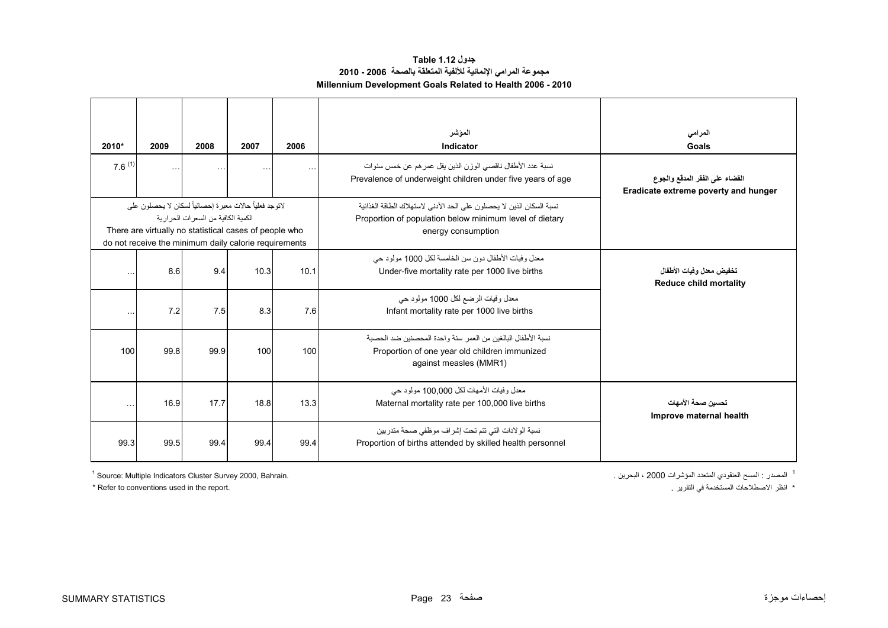| جدول Table 1.12                                               |
|---------------------------------------------------------------|
| مجموعة المرامي الإنمائية للألفية المتعلقة بالصحة  2006 - 2010 |
| Millennium Development Goals Related to Health 2006 - 2010    |

<span id="page-23-0"></span>

| 2010*<br>$7.6^{(1)}$ | 2009<br>$\sim$ $\sim$ $\sim$                                                                                                                                              | 2008<br>$\ddotsc$                     | 2007<br>$\sim$ $\sim$ $\sim$ | 2006<br>$\ldots$ | الموشر<br>Indicator<br>نسبة عدد الأطفال ناقصبي الوزن الذين يقل عمر هم عن خمس سنوات<br>Prevalence of underweight children under five years of age      | المرامى<br>Goals<br>القضاء على الفقر المدقع والجوع        |
|----------------------|---------------------------------------------------------------------------------------------------------------------------------------------------------------------------|---------------------------------------|------------------------------|------------------|-------------------------------------------------------------------------------------------------------------------------------------------------------|-----------------------------------------------------------|
|                      | لاتوجد فعلياً حالات معبرة إحصائياً لسكان لا يحصلون على<br>There are virtually no statistical cases of people who<br>do not receive the minimum daily calorie requirements | الكمية الكافية من السعر ات الحر ار ية |                              |                  | نسبة السكان الذين لا يحصلون على الحد الأدنى لاستهلاك الطاقة الغذائية<br>Proportion of population below minimum level of dietary<br>energy consumption | Eradicate extreme poverty and hunger                      |
| $\ddotsc$            | 8.6                                                                                                                                                                       | 9.4                                   | 10.3                         | 10.1             | معدل و فيات الأطفال دو ن سن الخامسة لكل 1000 مولو د حي<br>Under-five mortality rate per 1000 live births                                              | تخفيض معدل وفيات الأطفال<br><b>Reduce child mortality</b> |
| $\ddotsc$            | 7.2                                                                                                                                                                       | 7.5                                   | 8.3                          | 7.6              | معدل وفيات الرضع لكل 1000 مولود حي<br>Infant mortality rate per 1000 live births                                                                      |                                                           |
| 100                  | 99.8                                                                                                                                                                      | 99.9                                  | 100                          | 100              | نسبة الأطفال البالغين من العمر  سنة و احدة المحصنين ضد الحصبة<br>Proportion of one year old children immunized<br>against measles (MMR1)              |                                                           |
| $\sim$ $\sim$ $\sim$ | 16.9                                                                                                                                                                      | 17.7                                  | 18.8                         | 13.3             | معدل وفيات الأمهات لكل 100.000 مولود حي<br>Maternal mortality rate per 100,000 live births                                                            | تحسبن صحة الأمهات<br>Improve maternal health              |
| 99.3                 | 99.5                                                                                                                                                                      | 99.4                                  | 99.4                         | 99.4             | نسبة الولادات التي تتم تحت إشراف موظفي صحة متدر بين<br>Proportion of births attended by skilled health personnel                                      |                                                           |

1 المصدر : المسح العنقودي المتعدد المؤشرات 2000 ، البحرين .

 $<sup>1</sup>$  Source: Multiple Indicators Cluster Survey 2000, Bahrain.</sup>

\* Refer to conventions used in the report. . التقرير في المستخدمة االصطالحات انظر\*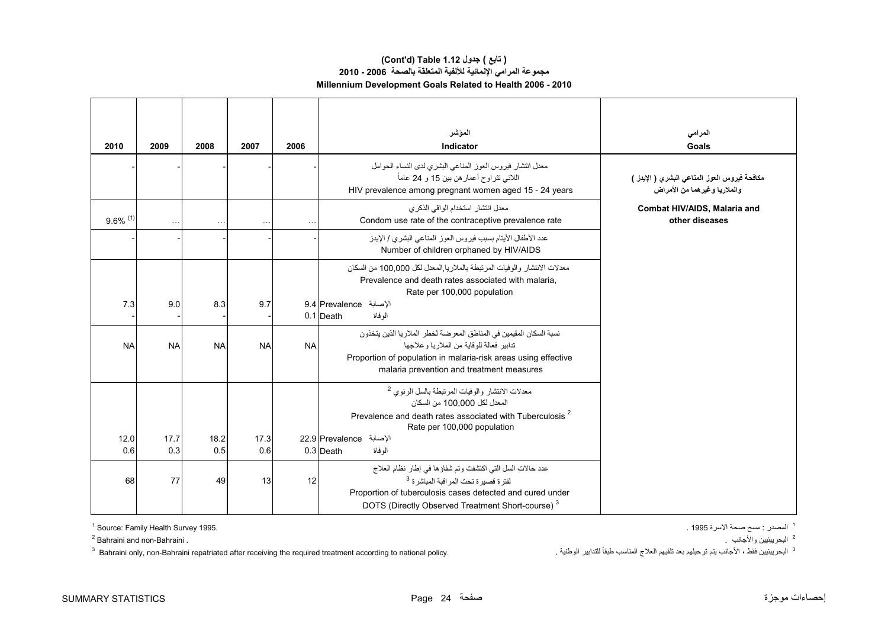### **(Cont'd) Table 1.12 جدول ) تابع( مجموعة المرامي اإلنمائية لأللفية المتعلقة بالصحة 2006 - 2010 Millennium Development Goals Related to Health 2006 - 2010**

| 2010                   | 2009        | 2008        | 2007        | 2006      | الموشر<br>Indicator                                                                                                                                                                                                                                       | المرامي<br>Goals                                                             |
|------------------------|-------------|-------------|-------------|-----------|-----------------------------------------------------------------------------------------------------------------------------------------------------------------------------------------------------------------------------------------------------------|------------------------------------------------------------------------------|
|                        |             |             |             |           | معدل انتشار فيروس العوز المناعي البشري لدى النساء الحوامل<br>اللائي نتراوح أعمار هن بين 15 و 24 عاماً<br>HIV prevalence among pregnant women aged 15 - 24 years                                                                                           | مكافحة فيروس العوز المناعي البشري ( الإيدز )<br>والملاريا وغيرهما من الأمراض |
| $9.6\%$ <sup>(1)</sup> |             |             | $\ddotsc$   |           | معدل انتشار استخدام الواقى الذكرى<br>Condom use rate of the contraceptive prevalence rate                                                                                                                                                                 | Combat HIV/AIDS, Malaria and<br>other diseases                               |
|                        |             |             |             |           | عدد الأطفال الأيتام بسبب فيروس العوز المناعي البشري / الإيدز<br>Number of children orphaned by HIV/AIDS                                                                                                                                                   |                                                                              |
| 7.3                    | 9.0         | 8.3         | 9.7         |           | معدلات الانتشار والوفيات المرتبطة بالملاريا المعدل لكل 100,000 من السكان<br>Prevalence and death rates associated with malaria,<br>Rate per 100,000 population<br>الإصابة Prevalence الإصابة<br>0.1 Death<br>الو فاة                                      |                                                                              |
| <b>NA</b>              | <b>NA</b>   | <b>NA</b>   | <b>NA</b>   | <b>NA</b> | نسبة السكان المقيمين في المناطق المعر ضنة لخطر  الملار يا الذين يتخذون<br>تدابير فعالة للوقاية من الملار يا و علاجها<br>Proportion of population in malaria-risk areas using effective<br>malaria prevention and treatment measures                       |                                                                              |
| 12.0<br>0.6            | 17.7<br>0.3 | 18.2<br>0.5 | 17.3<br>0.6 |           | معدلات الانتشار والوفيات المرتبطة بالسل الرئوي <sup>2</sup><br>المعدل لكل 100.000 من السكان<br>Prevalence and death rates associated with Tuberculosis <sup>2</sup><br>Rate per 100,000 population<br>الإصابة Prevalence الإصابة<br>$0.3$ Death<br>الوفاة |                                                                              |
| 68                     | 77          | 49          | 13          | 12        | عدد حالات السل التي اكتشفت وتم شفاؤها في إطار نظام العلاج<br>لفتر ة قصير ة تحت المر اقبة المباشر ة <sup>3</sup><br>Proportion of tuberculosis cases detected and cured under<br>DOTS (Directly Observed Treatment Short-course) <sup>3</sup>              |                                                                              |

 $1$  Source: Family Health Survey 1995.

<sup>2</sup> Bahraini and non-Bahraini.

 $^3$  Bahraini only, non-Bahraini repatriated after receiving the required treatment according to national policy. البحريينيين فقط ، الأجانب يتم ترحيلهم بعد تلقيهم العلاج المناسب طبقاً للتدابير الوطنية .

<sup>1</sup> المصدر : مسح صحة الأسرة 1995 .

<sup>2</sup> البحريينيين والأجانب <sub>.</sub>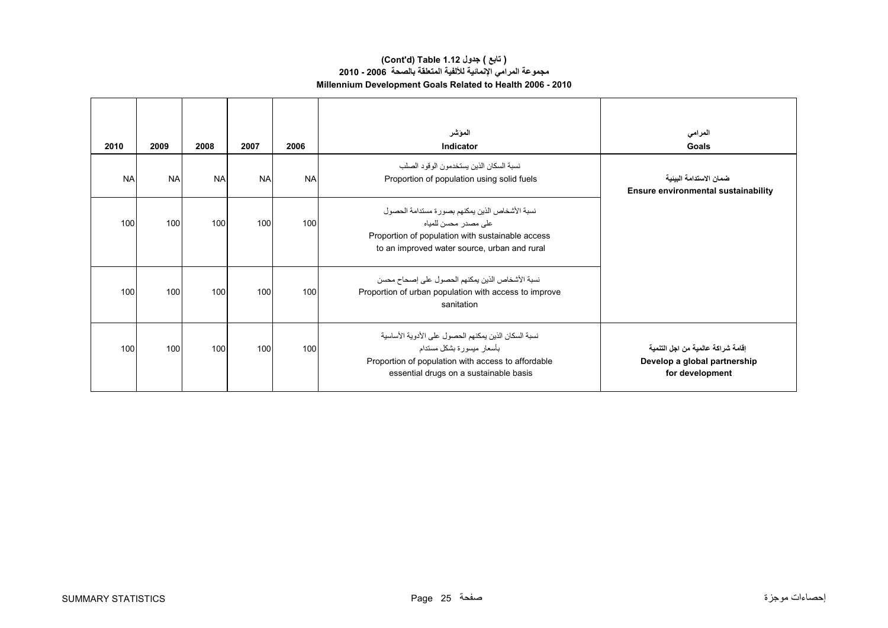### **(Cont'd) Table 1.12 جدول ) تابع( مجموعة المرامي اإلنمائية لأللفية المتعلقة بالصحة 2006 - 2010 Millennium Development Goals Related to Health 2006 - 2010**

| 2010      | 2009      | 2008      | 2007      | 2006      | المؤشر<br>Indicator                                                                                                                                                               | المرامى<br>Goals                                                                       |
|-----------|-----------|-----------|-----------|-----------|-----------------------------------------------------------------------------------------------------------------------------------------------------------------------------------|----------------------------------------------------------------------------------------|
| <b>NA</b> | <b>NA</b> | <b>NA</b> | <b>NA</b> | <b>NA</b> | نسبة السكان الذين يستخدمو ن الو قو د الصلب<br>Proportion of population using solid fuels                                                                                          | ضمان الاستدامة البينية<br><b>Ensure environmental sustainability</b>                   |
| 100       | 100       | 100       | 100       | 100       | نسبة الأشخاص الذين يمكنهم بصورة مستدامة الحصول<br>علے مصدر محسن للمياہ<br>Proportion of population with sustainable access<br>to an improved water source, urban and rural        |                                                                                        |
| 100       | 100       | 100       | 100       | 100       | نسبة الأشخاص الذين يمكنهم الحصول على إصحاح محسن<br>Proportion of urban population with access to improve<br>sanitation                                                            |                                                                                        |
| 100       | 100       | 100       | 100       | 100       | نسبة السكان الذين يمكنهم الحصول على الأدوية الأساسية<br>بأسعار ميسورة بشكل مستدام<br>Proportion of population with access to affordable<br>essential drugs on a sustainable basis | اِقَامة شراكة عالمية من اجل التنمية<br>Develop a global partnership<br>for development |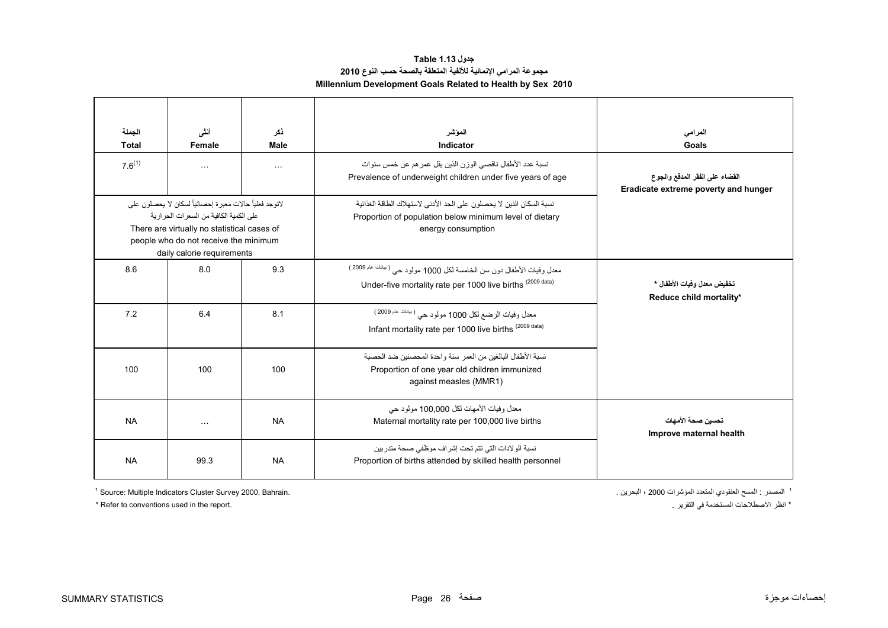### **جدول 1.13 Table مجموعة المرامي اإلنمائية لأللفية المتعلقة بالصحة حسب النوع <sup>2010</sup> Millennium Development Goals Related to Health by Sex 2010**

<span id="page-26-0"></span>

| الحملة<br><b>Total</b><br>$7.6^{(1)}$ | أنشى<br>Female<br>$\sim$ $\sim$ $\sim$                                                                                                                                                                                        | ذكر<br>Male<br>$\sim$ $\sim$ | الموشر<br>Indicator<br>نسبة عدد الأطفال ناقصي الوزن الذين يقل عمر هم عن خمس سنوات<br>Prevalence of underweight children under five years of age       | المرامى<br>Goals<br>القضاء على الفقر المدقع والجوع<br>Eradicate extreme poverty and hunger |
|---------------------------------------|-------------------------------------------------------------------------------------------------------------------------------------------------------------------------------------------------------------------------------|------------------------------|-------------------------------------------------------------------------------------------------------------------------------------------------------|--------------------------------------------------------------------------------------------|
|                                       | لاتوجد فعلياً حالات معبر ة إحصـائياً لسكان لا يحصـلو ن علي<br>على الكمية الكافية من السعر ات الحر ار ية<br>There are virtually no statistical cases of<br>people who do not receive the minimum<br>daily calorie requirements |                              | نسبة السكان الذين لا يحصلون على الحد الأدنى لاستهلاك الطاقة الغذائية<br>Proportion of population below minimum level of dietary<br>energy consumption |                                                                                            |
| 8.6                                   | 8.0                                                                                                                                                                                                                           | 9.3                          | معدل وفيات الأطفال دون سن الخامسة لكل 1000 مولود حي ( يلفك عام 2009 )<br>Under-five mortality rate per 1000 live births (2009 data)                   | تخفيض معدل وفيات الأطفال *<br>Reduce child mortality*                                      |
| 7.2                                   | 6.4                                                                                                                                                                                                                           | 8.1                          | معدل وفيات الرضع لكل 1000 مولود حي (بيلنك عام 2009)<br>Infant mortality rate per 1000 live births (2009 data)                                         |                                                                                            |
| 100                                   | 100                                                                                                                                                                                                                           | 100                          | نسبة الأطفال البالغين من العمر سنة واحدة المحصنين ضد الحصبة<br>Proportion of one year old children immunized<br>against measles (MMR1)                |                                                                                            |
| <b>NA</b>                             | $\cdots$                                                                                                                                                                                                                      | <b>NA</b>                    | معدل وفيات الأمهات لكل 100.000 مولود حي<br>Maternal mortality rate per 100,000 live births                                                            | تحسين صحة الأمهات<br>Improve maternal health                                               |
| <b>NA</b>                             | 99.3                                                                                                                                                                                                                          | <b>NA</b>                    | نسبة الولادات التي تتم تحت إشراف موظفي صحة متدربين<br>Proportion of births attended by skilled health personnel                                       |                                                                                            |

 $1$  Source: Multiple Indicators Cluster Survey 2000, Bahrain.

\* Refer to conventions used in the report. . التقرير في المستخدمة االصطالحات انظر\*

<sup>1</sup> المصدر : المسح العنقودي المتعدد المؤشرات 2000 ، البحرين .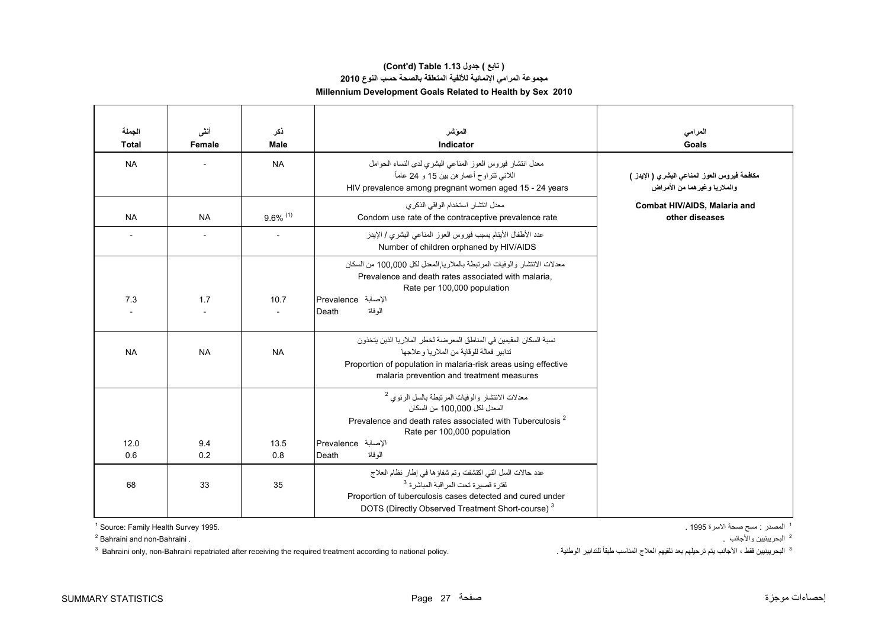### **مجموعة المرامي اإلنمائية لأللفية المتعلقة بالصحة حسب النوع <sup>2010</sup> Millennium Development Goals Related to Health by Sex 2010 (Cont'd) Table 1.13 جدول ) تابع(**

| الجملة<br><b>Total</b> | أننس<br>Female | ذكر<br><b>Male</b>     | المؤشر<br>Indicator                                                                                                                                                                                                                                  | المرامى<br>Goals                                                                 |
|------------------------|----------------|------------------------|------------------------------------------------------------------------------------------------------------------------------------------------------------------------------------------------------------------------------------------------------|----------------------------------------------------------------------------------|
| <b>NA</b>              |                | <b>NA</b>              | معدل انتشار فيروس العوز المناعي البشري لدى النساء الحوامل<br>اللائي نتراوح أعمار هن بين 15 و 24 عاماً<br>HIV prevalence among pregnant women aged 15 - 24 years                                                                                      | مكافحة فيروس العوز المناعي البشري ( الإيدز )<br>و الملاريا و غير هما من الأمر اض |
| <b>NA</b>              | <b>NA</b>      | $9.6\%$ <sup>(1)</sup> | معدل انتشار استخدام الواقي الذكري<br>Condom use rate of the contraceptive prevalence rate                                                                                                                                                            | Combat HIV/AIDS, Malaria and<br>other diseases                                   |
|                        |                |                        | عدد الأطفال الأيتام بسبب فيروس العوز المناعي البشري / الإيدز<br>Number of children orphaned by HIV/AIDS                                                                                                                                              |                                                                                  |
| 7.3                    | 1.7            | 10.7                   | معدلات الانتشار والوفيات المرتبطة بالملاريا المعدل لكل 100,000 من السكان<br>Prevalence and death rates associated with malaria.<br>Rate per 100,000 population<br>الإصابة Prevalence<br>الو فاة<br>Death                                             |                                                                                  |
| <b>NA</b>              | <b>NA</b>      | <b>NA</b>              | نسبة السكان المقيمين في المناطق المعرضة لخطر الملاريا الذين يتخذون<br>تدابير فعالة للوقاية من الملار يا و علاجها<br>Proportion of population in malaria-risk areas using effective<br>malaria prevention and treatment measures                      |                                                                                  |
| 12.0                   | 9.4            | 13.5                   | معدلات الانتشار والوفيات المرتبطة بالسل الرئوي <sup>2</sup><br>المعدل لكل 100.000 من السكان<br>Prevalence and death rates associated with Tuberculosis <sup>2</sup><br>Rate per 100,000 population<br>الإصابة Prevalence                             |                                                                                  |
| 0.6                    | 0.2            | 0.8                    | الموفاة<br>Death                                                                                                                                                                                                                                     |                                                                                  |
| 68                     | 33             | 35                     | عدد حالات السل التي اكتشفت وتم شفاؤها في إطار نظام العلاج<br>لْفَتَر ة قصبير ة تَحت الْمر اقبة الْمباشْر ة <sup>3</sup><br>Proportion of tuberculosis cases detected and cured under<br>DOTS (Directly Observed Treatment Short-course) <sup>3</sup> |                                                                                  |

 $1$  Source: Family Health Survey 1995.

2 Bahraini and non-Bahraini .

<sup>1</sup> المصدر : مسح صحة الاسرة 1995 .

<sup>2</sup> البحريينيين والأجانب <sub>.</sub>

 $^3$  Bahraini only, non-Bahraini repatriated after receiving the required treatment according to national policy. البحريينيين فقط ، الأجانب يتم ترحيلهم بعد تلقيهم العلاج المناسب طبقاً للتدابير الوطنية .